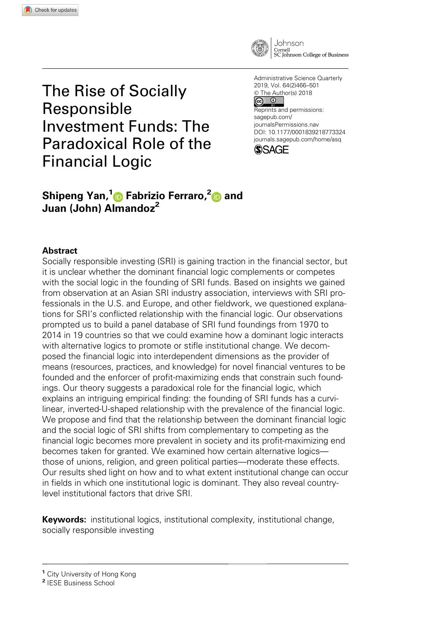

# The Rise of Socially Responsible Investment Funds: The Paradoxical Role of the Financial Logic

Administrative Science Quarterly 2019, Vol. 64(2)466–501 © The Author(s) 2018

# Reprints and permissions:

[sagepub.com/](us.sagepub.com/en-us/journals-permissions) [journalsPermissions.nav](us.sagepub.com/en-us/journals-permissions) [DOI: 10.1177/0001839218773324](https://doi.dox.org/10.1177/0001839218773324) <journals.sagepub.com/home/asq>



# Shipeng Yan,<sup>1</sup> Fabrizio Ferraro,<sup>2</sup> and Juan (John) Almandoz2

### Abstract

Socially responsible investing (SRI) is gaining traction in the financial sector, but it is unclear whether the dominant financial logic complements or competes with the social logic in the founding of SRI funds. Based on insights we gained from observation at an Asian SRI industry association, interviews with SRI professionals in the U.S. and Europe, and other fieldwork, we questioned explanations for SRI's conflicted relationship with the financial logic. Our observations prompted us to build a panel database of SRI fund foundings from 1970 to 2014 in 19 countries so that we could examine how a dominant logic interacts with alternative logics to promote or stifle institutional change. We decomposed the financial logic into interdependent dimensions as the provider of means (resources, practices, and knowledge) for novel financial ventures to be founded and the enforcer of profit-maximizing ends that constrain such foundings. Our theory suggests a paradoxical role for the financial logic, which explains an intriguing empirical finding: the founding of SRI funds has a curvilinear, inverted-U-shaped relationship with the prevalence of the financial logic. We propose and find that the relationship between the dominant financial logic and the social logic of SRI shifts from complementary to competing as the financial logic becomes more prevalent in society and its profit-maximizing end becomes taken for granted. We examined how certain alternative logics those of unions, religion, and green political parties—moderate these effects. Our results shed light on how and to what extent institutional change can occur in fields in which one institutional logic is dominant. They also reveal countrylevel institutional factors that drive SRI.

Keywords: institutional logics, institutional complexity, institutional change, socially responsible investing

<sup>&</sup>lt;sup>1</sup> City University of Hong Kong

<sup>2</sup> IESE Business School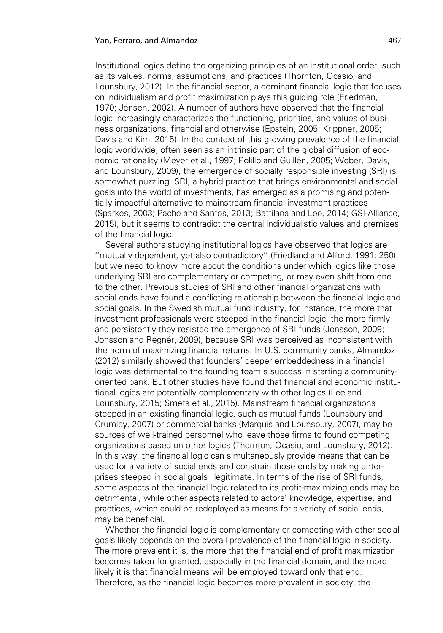Institutional logics define the organizing principles of an institutional order, such as its values, norms, assumptions, and practices (Thornton, Ocasio, and Lounsbury, 2012). In the financial sector, a dominant financial logic that focuses on individualism and profit maximization plays this guiding role (Friedman, 1970; Jensen, 2002). A number of authors have observed that the financial logic increasingly characterizes the functioning, priorities, and values of business organizations, financial and otherwise (Epstein, 2005; Krippner, 2005; Davis and Kim, 2015). In the context of this growing prevalence of the financial logic worldwide, often seen as an intrinsic part of the global diffusion of economic rationality (Meyer et al., 1997; Polillo and Guillén, 2005; Weber, Davis, and Lounsbury, 2009), the emergence of socially responsible investing (SRI) is somewhat puzzling. SRI, a hybrid practice that brings environmental and social goals into the world of investments, has emerged as a promising and potentially impactful alternative to mainstream financial investment practices (Sparkes, 2003; Pache and Santos, 2013; Battilana and Lee, 2014; GSI-Alliance, 2015), but it seems to contradict the central individualistic values and premises of the financial logic.

Several authors studying institutional logics have observed that logics are ''mutually dependent, yet also contradictory'' (Friedland and Alford, 1991: 250), but we need to know more about the conditions under which logics like those underlying SRI are complementary or competing, or may even shift from one to the other. Previous studies of SRI and other financial organizations with social ends have found a conflicting relationship between the financial logic and social goals. In the Swedish mutual fund industry, for instance, the more that investment professionals were steeped in the financial logic, the more firmly and persistently they resisted the emergence of SRI funds (Jonsson, 2009; Jonsson and Regnér, 2009), because SRI was perceived as inconsistent with the norm of maximizing financial returns. In U.S. community banks, Almandoz (2012) similarly showed that founders' deeper embeddedness in a financial logic was detrimental to the founding team's success in starting a communityoriented bank. But other studies have found that financial and economic institutional logics are potentially complementary with other logics (Lee and Lounsbury, 2015; Smets et al., 2015). Mainstream financial organizations steeped in an existing financial logic, such as mutual funds (Lounsbury and Crumley, 2007) or commercial banks (Marquis and Lounsbury, 2007), may be sources of well-trained personnel who leave those firms to found competing organizations based on other logics (Thornton, Ocasio, and Lounsbury, 2012). In this way, the financial logic can simultaneously provide means that can be used for a variety of social ends and constrain those ends by making enterprises steeped in social goals illegitimate. In terms of the rise of SRI funds, some aspects of the financial logic related to its profit-maximizing ends may be detrimental, while other aspects related to actors' knowledge, expertise, and practices, which could be redeployed as means for a variety of social ends, may be beneficial.

Whether the financial logic is complementary or competing with other social goals likely depends on the overall prevalence of the financial logic in society. The more prevalent it is, the more that the financial end of profit maximization becomes taken for granted, especially in the financial domain, and the more likely it is that financial means will be employed toward only that end. Therefore, as the financial logic becomes more prevalent in society, the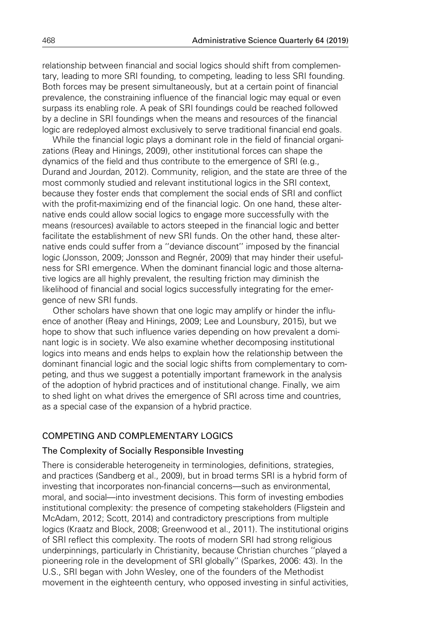relationship between financial and social logics should shift from complementary, leading to more SRI founding, to competing, leading to less SRI founding. Both forces may be present simultaneously, but at a certain point of financial prevalence, the constraining influence of the financial logic may equal or even surpass its enabling role. A peak of SRI foundings could be reached followed by a decline in SRI foundings when the means and resources of the financial logic are redeployed almost exclusively to serve traditional financial end goals.

While the financial logic plays a dominant role in the field of financial organizations (Reay and Hinings, 2009), other institutional forces can shape the dynamics of the field and thus contribute to the emergence of SRI (e.g., Durand and Jourdan, 2012). Community, religion, and the state are three of the most commonly studied and relevant institutional logics in the SRI context, because they foster ends that complement the social ends of SRI and conflict with the profit-maximizing end of the financial logic. On one hand, these alternative ends could allow social logics to engage more successfully with the means (resources) available to actors steeped in the financial logic and better facilitate the establishment of new SRI funds. On the other hand, these alternative ends could suffer from a ''deviance discount'' imposed by the financial logic (Jonsson, 2009; Jonsson and Regnér, 2009) that may hinder their usefulness for SRI emergence. When the dominant financial logic and those alternative logics are all highly prevalent, the resulting friction may diminish the likelihood of financial and social logics successfully integrating for the emergence of new SRI funds.

Other scholars have shown that one logic may amplify or hinder the influence of another (Reay and Hinings, 2009; Lee and Lounsbury, 2015), but we hope to show that such influence varies depending on how prevalent a dominant logic is in society. We also examine whether decomposing institutional logics into means and ends helps to explain how the relationship between the dominant financial logic and the social logic shifts from complementary to competing, and thus we suggest a potentially important framework in the analysis of the adoption of hybrid practices and of institutional change. Finally, we aim to shed light on what drives the emergence of SRI across time and countries, as a special case of the expansion of a hybrid practice.

### COMPETING AND COMPLEMENTARY LOGICS

### The Complexity of Socially Responsible Investing

There is considerable heterogeneity in terminologies, definitions, strategies, and practices (Sandberg et al., 2009), but in broad terms SRI is a hybrid form of investing that incorporates non-financial concerns—such as environmental, moral, and social—into investment decisions. This form of investing embodies institutional complexity: the presence of competing stakeholders (Fligstein and McAdam, 2012; Scott, 2014) and contradictory prescriptions from multiple logics (Kraatz and Block, 2008; Greenwood et al., 2011). The institutional origins of SRI reflect this complexity. The roots of modern SRI had strong religious underpinnings, particularly in Christianity, because Christian churches ''played a pioneering role in the development of SRI globally'' (Sparkes, 2006: 43). In the U.S., SRI began with John Wesley, one of the founders of the Methodist movement in the eighteenth century, who opposed investing in sinful activities,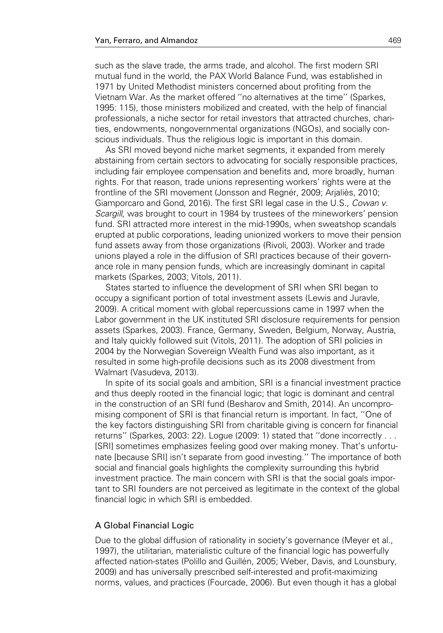such as the slave trade, the arms trade, and alcohol. The first modern SRI mutual fund in the world, the PAX World Balance Fund, was established in 1971 by United Methodist ministers concerned about profiting from the Vietnam War. As the market offered ''no alternatives at the time'' (Sparkes, 1995: 115), those ministers mobilized and created, with the help of financial professionals, a niche sector for retail investors that attracted churches, charities, endowments, nongovernmental organizations (NGOs), and socially conscious individuals. Thus the religious logic is important in this domain.

As SRI moved beyond niche market segments, it expanded from merely abstaining from certain sectors to advocating for socially responsible practices, including fair employee compensation and benefits and, more broadly, human rights. For that reason, trade unions representing workers' rights were at the frontline of the SRI movement (Jonsson and Regnér, 2009; Arjaliès, 2010; Giamporcaro and Gond, 2016). The first SRI legal case in the U.S., Cowan v. Scargill, was brought to court in 1984 by trustees of the mineworkers' pension fund. SRI attracted more interest in the mid-1990s, when sweatshop scandals erupted at public corporations, leading unionized workers to move their pension fund assets away from those organizations (Rivoli, 2003). Worker and trade unions played a role in the diffusion of SRI practices because of their governance role in many pension funds, which are increasingly dominant in capital markets (Sparkes, 2003; Vitols, 2011).

States started to influence the development of SRI when SRI began to occupy a significant portion of total investment assets (Lewis and Juravle, 2009). A critical moment with global repercussions came in 1997 when the Labor government in the UK instituted SRI disclosure requirements for pension assets (Sparkes, 2003). France, Germany, Sweden, Belgium, Norway, Austria, and Italy quickly followed suit (Vitols, 2011). The adoption of SRI policies in 2004 by the Norwegian Sovereign Wealth Fund was also important, as it resulted in some high-profile decisions such as its 2008 divestment from Walmart (Vasudeva, 2013).

In spite of its social goals and ambition, SRI is a financial investment practice and thus deeply rooted in the financial logic; that logic is dominant and central in the construction of an SRI fund (Besharov and Smith, 2014). An uncompromising component of SRI is that financial return is important. In fact, ''One of the key factors distinguishing SRI from charitable giving is concern for financial returns'' (Sparkes, 2003: 22). Logue (2009: 1) stated that ''done incorrectly . . . [SRI] sometimes emphasizes feeling good over making money. That's unfortunate [because SRI] isn't separate from good investing.'' The importance of both social and financial goals highlights the complexity surrounding this hybrid investment practice. The main concern with SRI is that the social goals important to SRI founders are not perceived as legitimate in the context of the global financial logic in which SRI is embedded.

### A Global Financial Logic

Due to the global diffusion of rationality in society's governance (Meyer et al., 1997), the utilitarian, materialistic culture of the financial logic has powerfully affected nation-states (Polillo and Guillén, 2005; Weber, Davis, and Lounsbury, 2009) and has universally prescribed self-interested and profit-maximizing norms, values, and practices (Fourcade, 2006). But even though it has a global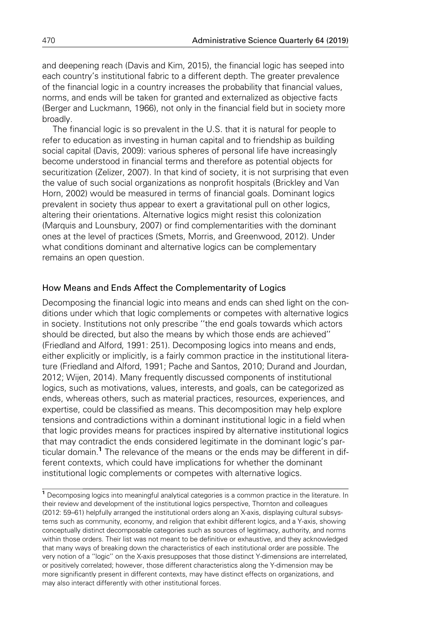and deepening reach (Davis and Kim, 2015), the financial logic has seeped into each country's institutional fabric to a different depth. The greater prevalence of the financial logic in a country increases the probability that financial values, norms, and ends will be taken for granted and externalized as objective facts (Berger and Luckmann, 1966), not only in the financial field but in society more broadly.

The financial logic is so prevalent in the U.S. that it is natural for people to refer to education as investing in human capital and to friendship as building social capital (Davis, 2009): various spheres of personal life have increasingly become understood in financial terms and therefore as potential objects for securitization (Zelizer, 2007). In that kind of society, it is not surprising that even the value of such social organizations as nonprofit hospitals (Brickley and Van Horn, 2002) would be measured in terms of financial goals. Dominant logics prevalent in society thus appear to exert a gravitational pull on other logics, altering their orientations. Alternative logics might resist this colonization (Marquis and Lounsbury, 2007) or find complementarities with the dominant ones at the level of practices (Smets, Morris, and Greenwood, 2012). Under what conditions dominant and alternative logics can be complementary remains an open question.

### How Means and Ends Affect the Complementarity of Logics

Decomposing the financial logic into means and ends can shed light on the conditions under which that logic complements or competes with alternative logics in society. Institutions not only prescribe ''the end goals towards which actors should be directed, but also the means by which those ends are achieved'' (Friedland and Alford, 1991: 251). Decomposing logics into means and ends, either explicitly or implicitly, is a fairly common practice in the institutional literature (Friedland and Alford, 1991; Pache and Santos, 2010; Durand and Jourdan, 2012; Wijen, 2014). Many frequently discussed components of institutional logics, such as motivations, values, interests, and goals, can be categorized as ends, whereas others, such as material practices, resources, experiences, and expertise, could be classified as means. This decomposition may help explore tensions and contradictions within a dominant institutional logic in a field when that logic provides means for practices inspired by alternative institutional logics that may contradict the ends considered legitimate in the dominant logic's particular domain.<sup>1</sup> The relevance of the means or the ends may be different in different contexts, which could have implications for whether the dominant institutional logic complements or competes with alternative logics.

<sup>1</sup> Decomposing logics into meaningful analytical categories is a common practice in the literature. In their review and development of the institutional logics perspective, Thornton and colleagues (2012: 59–61) helpfully arranged the institutional orders along an X-axis, displaying cultural subsystems such as community, economy, and religion that exhibit different logics, and a Y-axis, showing conceptually distinct decomposable categories such as sources of legitimacy, authority, and norms within those orders. Their list was not meant to be definitive or exhaustive, and they acknowledged that many ways of breaking down the characteristics of each institutional order are possible. The very notion of a ''logic'' on the X-axis presupposes that those distinct Y-dimensions are interrelated, or positively correlated; however, those different characteristics along the Y-dimension may be more significantly present in different contexts, may have distinct effects on organizations, and may also interact differently with other institutional forces.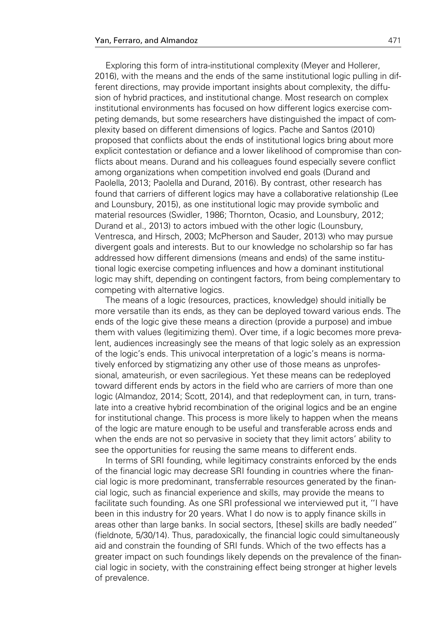Exploring this form of intra-institutional complexity (Meyer and Hollerer, 2016), with the means and the ends of the same institutional logic pulling in different directions, may provide important insights about complexity, the diffusion of hybrid practices, and institutional change. Most research on complex institutional environments has focused on how different logics exercise competing demands, but some researchers have distinguished the impact of complexity based on different dimensions of logics. Pache and Santos (2010) proposed that conflicts about the ends of institutional logics bring about more explicit contestation or defiance and a lower likelihood of compromise than conflicts about means. Durand and his colleagues found especially severe conflict among organizations when competition involved end goals (Durand and Paolella, 2013; Paolella and Durand, 2016). By contrast, other research has found that carriers of different logics may have a collaborative relationship (Lee and Lounsbury, 2015), as one institutional logic may provide symbolic and material resources (Swidler, 1986; Thornton, Ocasio, and Lounsbury, 2012; Durand et al., 2013) to actors imbued with the other logic (Lounsbury, Ventresca, and Hirsch, 2003; McPherson and Sauder, 2013) who may pursue divergent goals and interests. But to our knowledge no scholarship so far has addressed how different dimensions (means and ends) of the same institutional logic exercise competing influences and how a dominant institutional logic may shift, depending on contingent factors, from being complementary to competing with alternative logics.

The means of a logic (resources, practices, knowledge) should initially be more versatile than its ends, as they can be deployed toward various ends. The ends of the logic give these means a direction (provide a purpose) and imbue them with values (legitimizing them). Over time, if a logic becomes more prevalent, audiences increasingly see the means of that logic solely as an expression of the logic's ends. This univocal interpretation of a logic's means is normatively enforced by stigmatizing any other use of those means as unprofessional, amateurish, or even sacrilegious. Yet these means can be redeployed toward different ends by actors in the field who are carriers of more than one logic (Almandoz, 2014; Scott, 2014), and that redeployment can, in turn, translate into a creative hybrid recombination of the original logics and be an engine for institutional change. This process is more likely to happen when the means of the logic are mature enough to be useful and transferable across ends and when the ends are not so pervasive in society that they limit actors' ability to see the opportunities for reusing the same means to different ends.

In terms of SRI founding, while legitimacy constraints enforced by the ends of the financial logic may decrease SRI founding in countries where the financial logic is more predominant, transferrable resources generated by the financial logic, such as financial experience and skills, may provide the means to facilitate such founding. As one SRI professional we interviewed put it, ''I have been in this industry for 20 years. What I do now is to apply finance skills in areas other than large banks. In social sectors, [these] skills are badly needed'' (fieldnote, 5/30/14). Thus, paradoxically, the financial logic could simultaneously aid and constrain the founding of SRI funds. Which of the two effects has a greater impact on such foundings likely depends on the prevalence of the financial logic in society, with the constraining effect being stronger at higher levels of prevalence.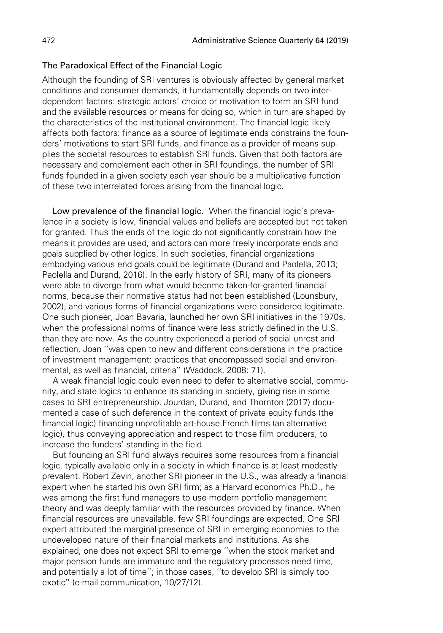### The Paradoxical Effect of the Financial Logic

Although the founding of SRI ventures is obviously affected by general market conditions and consumer demands, it fundamentally depends on two interdependent factors: strategic actors' choice or motivation to form an SRI fund and the available resources or means for doing so, which in turn are shaped by the characteristics of the institutional environment. The financial logic likely affects both factors: finance as a source of legitimate ends constrains the founders' motivations to start SRI funds, and finance as a provider of means supplies the societal resources to establish SRI funds. Given that both factors are necessary and complement each other in SRI foundings, the number of SRI funds founded in a given society each year should be a multiplicative function of these two interrelated forces arising from the financial logic.

Low prevalence of the financial logic. When the financial logic's prevalence in a society is low, financial values and beliefs are accepted but not taken for granted. Thus the ends of the logic do not significantly constrain how the means it provides are used, and actors can more freely incorporate ends and goals supplied by other logics. In such societies, financial organizations embodying various end goals could be legitimate (Durand and Paolella, 2013; Paolella and Durand, 2016). In the early history of SRI, many of its pioneers were able to diverge from what would become taken-for-granted financial norms, because their normative status had not been established (Lounsbury, 2002), and various forms of financial organizations were considered legitimate. One such pioneer, Joan Bavaria, launched her own SRI initiatives in the 1970s, when the professional norms of finance were less strictly defined in the U.S. than they are now. As the country experienced a period of social unrest and reflection, Joan ''was open to new and different considerations in the practice of investment management: practices that encompassed social and environmental, as well as financial, criteria'' (Waddock, 2008: 71).

A weak financial logic could even need to defer to alternative social, community, and state logics to enhance its standing in society, giving rise in some cases to SRI entrepreneurship. Jourdan, Durand, and Thornton (2017) documented a case of such deference in the context of private equity funds (the financial logic) financing unprofitable art-house French films (an alternative logic), thus conveying appreciation and respect to those film producers, to increase the funders' standing in the field.

But founding an SRI fund always requires some resources from a financial logic, typically available only in a society in which finance is at least modestly prevalent. Robert Zevin, another SRI pioneer in the U.S., was already a financial expert when he started his own SRI firm; as a Harvard economics Ph.D., he was among the first fund managers to use modern portfolio management theory and was deeply familiar with the resources provided by finance. When financial resources are unavailable, few SRI foundings are expected. One SRI expert attributed the marginal presence of SRI in emerging economies to the undeveloped nature of their financial markets and institutions. As she explained, one does not expect SRI to emerge ''when the stock market and major pension funds are immature and the regulatory processes need time, and potentially a lot of time''; in those cases, ''to develop SRI is simply too exotic'' (e-mail communication, 10/27/12).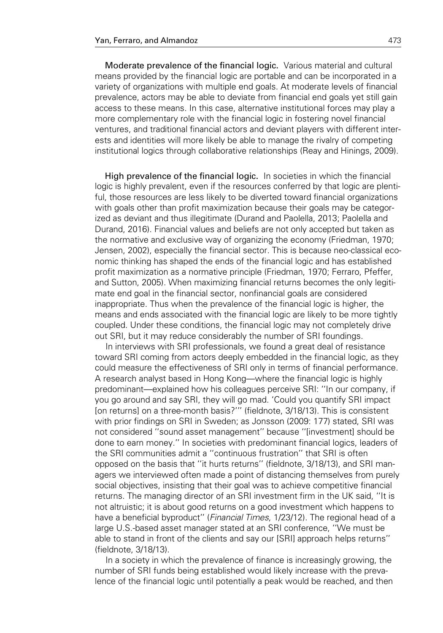Moderate prevalence of the financial logic. Various material and cultural means provided by the financial logic are portable and can be incorporated in a variety of organizations with multiple end goals. At moderate levels of financial prevalence, actors may be able to deviate from financial end goals yet still gain access to these means. In this case, alternative institutional forces may play a more complementary role with the financial logic in fostering novel financial ventures, and traditional financial actors and deviant players with different interests and identities will more likely be able to manage the rivalry of competing institutional logics through collaborative relationships (Reay and Hinings, 2009).

High prevalence of the financial logic. In societies in which the financial logic is highly prevalent, even if the resources conferred by that logic are plentiful, those resources are less likely to be diverted toward financial organizations with goals other than profit maximization because their goals may be categorized as deviant and thus illegitimate (Durand and Paolella, 2013; Paolella and Durand, 2016). Financial values and beliefs are not only accepted but taken as the normative and exclusive way of organizing the economy (Friedman, 1970; Jensen, 2002), especially the financial sector. This is because neo-classical economic thinking has shaped the ends of the financial logic and has established profit maximization as a normative principle (Friedman, 1970; Ferraro, Pfeffer, and Sutton, 2005). When maximizing financial returns becomes the only legitimate end goal in the financial sector, nonfinancial goals are considered inappropriate. Thus when the prevalence of the financial logic is higher, the means and ends associated with the financial logic are likely to be more tightly coupled. Under these conditions, the financial logic may not completely drive out SRI, but it may reduce considerably the number of SRI foundings.

In interviews with SRI professionals, we found a great deal of resistance toward SRI coming from actors deeply embedded in the financial logic, as they could measure the effectiveness of SRI only in terms of financial performance. A research analyst based in Hong Kong—where the financial logic is highly predominant—explained how his colleagues perceive SRI: ''In our company, if you go around and say SRI, they will go mad. 'Could you quantify SRI impact [on returns] on a three-month basis?''' (fieldnote, 3/18/13). This is consistent with prior findings on SRI in Sweden; as Jonsson (2009: 177) stated, SRI was not considered ''sound asset management'' because ''[investment] should be done to earn money.'' In societies with predominant financial logics, leaders of the SRI communities admit a ''continuous frustration'' that SRI is often opposed on the basis that ''it hurts returns'' (fieldnote, 3/18/13), and SRI managers we interviewed often made a point of distancing themselves from purely social objectives, insisting that their goal was to achieve competitive financial returns. The managing director of an SRI investment firm in the UK said, ''It is not altruistic; it is about good returns on a good investment which happens to have a beneficial byproduct" (Financial Times, 1/23/12). The regional head of a large U.S.-based asset manager stated at an SRI conference, ''We must be able to stand in front of the clients and say our [SRI] approach helps returns'' (fieldnote, 3/18/13).

In a society in which the prevalence of finance is increasingly growing, the number of SRI funds being established would likely increase with the prevalence of the financial logic until potentially a peak would be reached, and then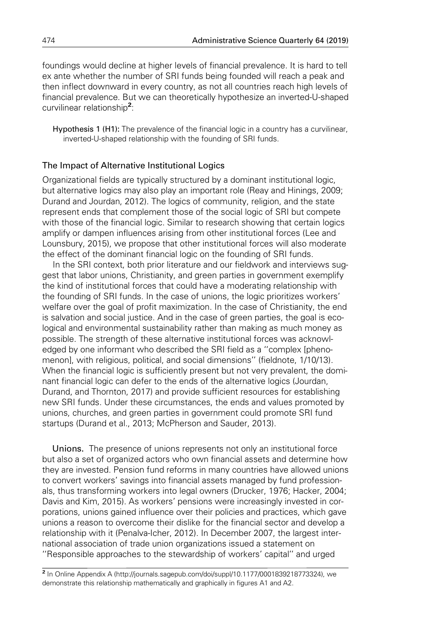foundings would decline at higher levels of financial prevalence. It is hard to tell ex ante whether the number of SRI funds being founded will reach a peak and then inflect downward in every country, as not all countries reach high levels of financial prevalence. But we can theoretically hypothesize an inverted-U-shaped curvilinear relationship<sup>2</sup>:

Hypothesis 1 (H1): The prevalence of the financial logic in a country has a curvilinear, inverted-U-shaped relationship with the founding of SRI funds.

### The Impact of Alternative Institutional Logics

Organizational fields are typically structured by a dominant institutional logic, but alternative logics may also play an important role (Reay and Hinings, 2009; Durand and Jourdan, 2012). The logics of community, religion, and the state represent ends that complement those of the social logic of SRI but compete with those of the financial logic. Similar to research showing that certain logics amplify or dampen influences arising from other institutional forces (Lee and Lounsbury, 2015), we propose that other institutional forces will also moderate the effect of the dominant financial logic on the founding of SRI funds.

In the SRI context, both prior literature and our fieldwork and interviews suggest that labor unions, Christianity, and green parties in government exemplify the kind of institutional forces that could have a moderating relationship with the founding of SRI funds. In the case of unions, the logic prioritizes workers' welfare over the goal of profit maximization. In the case of Christianity, the end is salvation and social justice. And in the case of green parties, the goal is ecological and environmental sustainability rather than making as much money as possible. The strength of these alternative institutional forces was acknowledged by one informant who described the SRI field as a ''complex [phenomenon], with religious, political, and social dimensions'' (fieldnote, 1/10/13). When the financial logic is sufficiently present but not very prevalent, the dominant financial logic can defer to the ends of the alternative logics (Jourdan, Durand, and Thornton, 2017) and provide sufficient resources for establishing new SRI funds. Under these circumstances, the ends and values promoted by unions, churches, and green parties in government could promote SRI fund startups (Durand et al., 2013; McPherson and Sauder, 2013).

Unions. The presence of unions represents not only an institutional force but also a set of organized actors who own financial assets and determine how they are invested. Pension fund reforms in many countries have allowed unions to convert workers' savings into financial assets managed by fund professionals, thus transforming workers into legal owners (Drucker, 1976; Hacker, 2004; Davis and Kim, 2015). As workers' pensions were increasingly invested in corporations, unions gained influence over their policies and practices, which gave unions a reason to overcome their dislike for the financial sector and develop a relationship with it (Penalva-Icher, 2012). In December 2007, the largest international association of trade union organizations issued a statement on ''Responsible approaches to the stewardship of workers' capital'' and urged

<sup>2</sup> In Online Appendix A (http://journals.sagepub.com/doi/suppl/10.1177/0001839218773324), we demonstrate this relationship mathematically and graphically in figures A1 and A2.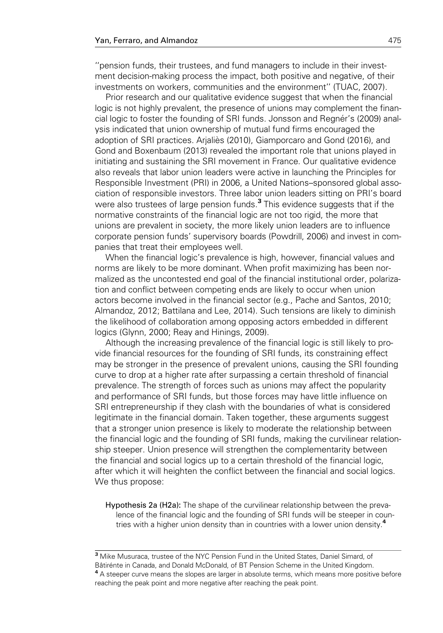''pension funds, their trustees, and fund managers to include in their investment decision-making process the impact, both positive and negative, of their investments on workers, communities and the environment'' (TUAC, 2007).

Prior research and our qualitative evidence suggest that when the financial logic is not highly prevalent, the presence of unions may complement the financial logic to foster the founding of SRI funds. Jonsson and Regnér's (2009) analysis indicated that union ownership of mutual fund firms encouraged the adoption of SRI practices. Arjaliès (2010), Giamporcaro and Gond (2016), and Gond and Boxenbaum (2013) revealed the important role that unions played in initiating and sustaining the SRI movement in France. Our qualitative evidence also reveals that labor union leaders were active in launching the Principles for Responsible Investment (PRI) in 2006, a United Nations–sponsored global association of responsible investors. Three labor union leaders sitting on PRI's board were also trustees of large pension funds.<sup>3</sup> This evidence suggests that if the normative constraints of the financial logic are not too rigid, the more that unions are prevalent in society, the more likely union leaders are to influence corporate pension funds' supervisory boards (Powdrill, 2006) and invest in companies that treat their employees well.

When the financial logic's prevalence is high, however, financial values and norms are likely to be more dominant. When profit maximizing has been normalized as the uncontested end goal of the financial institutional order, polarization and conflict between competing ends are likely to occur when union actors become involved in the financial sector (e.g., Pache and Santos, 2010; Almandoz, 2012; Battilana and Lee, 2014). Such tensions are likely to diminish the likelihood of collaboration among opposing actors embedded in different logics (Glynn, 2000; Reay and Hinings, 2009).

Although the increasing prevalence of the financial logic is still likely to provide financial resources for the founding of SRI funds, its constraining effect may be stronger in the presence of prevalent unions, causing the SRI founding curve to drop at a higher rate after surpassing a certain threshold of financial prevalence. The strength of forces such as unions may affect the popularity and performance of SRI funds, but those forces may have little influence on SRI entrepreneurship if they clash with the boundaries of what is considered legitimate in the financial domain. Taken together, these arguments suggest that a stronger union presence is likely to moderate the relationship between the financial logic and the founding of SRI funds, making the curvilinear relationship steeper. Union presence will strengthen the complementarity between the financial and social logics up to a certain threshold of the financial logic, after which it will heighten the conflict between the financial and social logics. We thus propose:

Hypothesis 2a (H2a): The shape of the curvilinear relationship between the prevalence of the financial logic and the founding of SRI funds will be steeper in countries with a higher union density than in countries with a lower union density.<sup>4</sup>

<sup>3</sup> Mike Musuraca, trustee of the NYC Pension Fund in the United States, Daniel Simard, of Bâtirénte in Canada, and Donald McDonald, of BT Pension Scheme in the United Kingdom. <sup>4</sup> A steeper curve means the slopes are larger in absolute terms, which means more positive before reaching the peak point and more negative after reaching the peak point.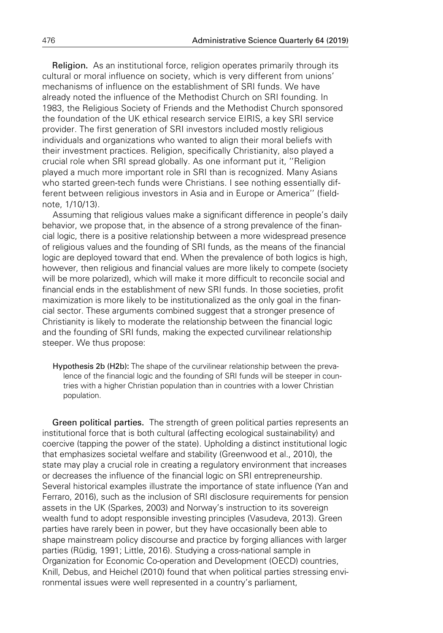Religion. As an institutional force, religion operates primarily through its cultural or moral influence on society, which is very different from unions' mechanisms of influence on the establishment of SRI funds. We have already noted the influence of the Methodist Church on SRI founding. In 1983, the Religious Society of Friends and the Methodist Church sponsored the foundation of the UK ethical research service EIRIS, a key SRI service provider. The first generation of SRI investors included mostly religious individuals and organizations who wanted to align their moral beliefs with their investment practices. Religion, specifically Christianity, also played a crucial role when SRI spread globally. As one informant put it, ''Religion played a much more important role in SRI than is recognized. Many Asians who started green-tech funds were Christians. I see nothing essentially different between religious investors in Asia and in Europe or America'' (fieldnote, 1/10/13).

Assuming that religious values make a significant difference in people's daily behavior, we propose that, in the absence of a strong prevalence of the financial logic, there is a positive relationship between a more widespread presence of religious values and the founding of SRI funds, as the means of the financial logic are deployed toward that end. When the prevalence of both logics is high, however, then religious and financial values are more likely to compete (society will be more polarized), which will make it more difficult to reconcile social and financial ends in the establishment of new SRI funds. In those societies, profit maximization is more likely to be institutionalized as the only goal in the financial sector. These arguments combined suggest that a stronger presence of Christianity is likely to moderate the relationship between the financial logic and the founding of SRI funds, making the expected curvilinear relationship steeper. We thus propose:

Hypothesis 2b (H2b): The shape of the curvilinear relationship between the prevalence of the financial logic and the founding of SRI funds will be steeper in countries with a higher Christian population than in countries with a lower Christian population.

Green political parties. The strength of green political parties represents an institutional force that is both cultural (affecting ecological sustainability) and coercive (tapping the power of the state). Upholding a distinct institutional logic that emphasizes societal welfare and stability (Greenwood et al., 2010), the state may play a crucial role in creating a regulatory environment that increases or decreases the influence of the financial logic on SRI entrepreneurship. Several historical examples illustrate the importance of state influence (Yan and Ferraro, 2016), such as the inclusion of SRI disclosure requirements for pension assets in the UK (Sparkes, 2003) and Norway's instruction to its sovereign wealth fund to adopt responsible investing principles (Vasudeva, 2013). Green parties have rarely been in power, but they have occasionally been able to shape mainstream policy discourse and practice by forging alliances with larger parties (Rüdig, 1991; Little, 2016). Studying a cross-national sample in Organization for Economic Co-operation and Development (OECD) countries, Knill, Debus, and Heichel (2010) found that when political parties stressing environmental issues were well represented in a country's parliament,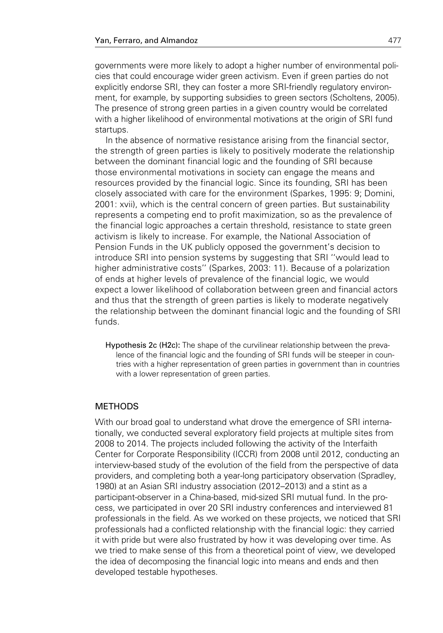governments were more likely to adopt a higher number of environmental policies that could encourage wider green activism. Even if green parties do not explicitly endorse SRI, they can foster a more SRI-friendly regulatory environment, for example, by supporting subsidies to green sectors (Scholtens, 2005). The presence of strong green parties in a given country would be correlated with a higher likelihood of environmental motivations at the origin of SRI fund startups.

In the absence of normative resistance arising from the financial sector, the strength of green parties is likely to positively moderate the relationship between the dominant financial logic and the founding of SRI because those environmental motivations in society can engage the means and resources provided by the financial logic. Since its founding, SRI has been closely associated with care for the environment (Sparkes, 1995: 9; Domini, 2001: xvii), which is the central concern of green parties. But sustainability represents a competing end to profit maximization, so as the prevalence of the financial logic approaches a certain threshold, resistance to state green activism is likely to increase. For example, the National Association of Pension Funds in the UK publicly opposed the government's decision to introduce SRI into pension systems by suggesting that SRI ''would lead to higher administrative costs'' (Sparkes, 2003: 11). Because of a polarization of ends at higher levels of prevalence of the financial logic, we would expect a lower likelihood of collaboration between green and financial actors and thus that the strength of green parties is likely to moderate negatively the relationship between the dominant financial logic and the founding of SRI funds.

Hypothesis 2c (H2c): The shape of the curvilinear relationship between the prevalence of the financial logic and the founding of SRI funds will be steeper in countries with a higher representation of green parties in government than in countries with a lower representation of green parties.

### METHODS

With our broad goal to understand what drove the emergence of SRI internationally, we conducted several exploratory field projects at multiple sites from 2008 to 2014. The projects included following the activity of the Interfaith Center for Corporate Responsibility (ICCR) from 2008 until 2012, conducting an interview-based study of the evolution of the field from the perspective of data providers, and completing both a year-long participatory observation (Spradley, 1980) at an Asian SRI industry association (2012–2013) and a stint as a participant-observer in a China-based, mid-sized SRI mutual fund. In the process, we participated in over 20 SRI industry conferences and interviewed 81 professionals in the field. As we worked on these projects, we noticed that SRI professionals had a conflicted relationship with the financial logic: they carried it with pride but were also frustrated by how it was developing over time. As we tried to make sense of this from a theoretical point of view, we developed the idea of decomposing the financial logic into means and ends and then developed testable hypotheses.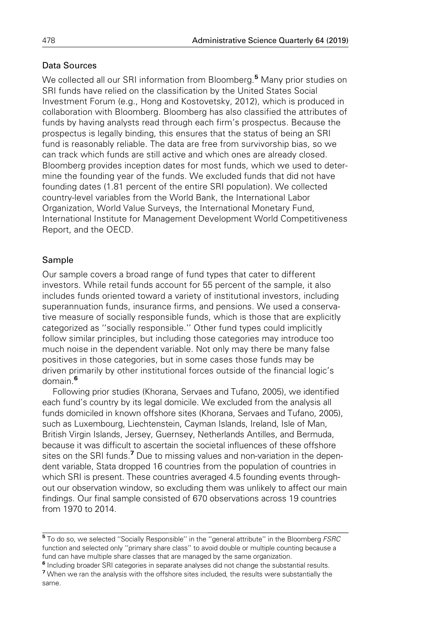# Data Sources

We collected all our SRI information from Bloomberg.<sup>5</sup> Many prior studies on SRI funds have relied on the classification by the United States Social Investment Forum (e.g., Hong and Kostovetsky, 2012), which is produced in collaboration with Bloomberg. Bloomberg has also classified the attributes of funds by having analysts read through each firm's prospectus. Because the prospectus is legally binding, this ensures that the status of being an SRI fund is reasonably reliable. The data are free from survivorship bias, so we can track which funds are still active and which ones are already closed. Bloomberg provides inception dates for most funds, which we used to determine the founding year of the funds. We excluded funds that did not have founding dates (1.81 percent of the entire SRI population). We collected country-level variables from the World Bank, the International Labor Organization, World Value Surveys, the International Monetary Fund, International Institute for Management Development World Competitiveness Report, and the OECD.

# Sample

Our sample covers a broad range of fund types that cater to different investors. While retail funds account for 55 percent of the sample, it also includes funds oriented toward a variety of institutional investors, including superannuation funds, insurance firms, and pensions. We used a conservative measure of socially responsible funds, which is those that are explicitly categorized as ''socially responsible.'' Other fund types could implicitly follow similar principles, but including those categories may introduce too much noise in the dependent variable. Not only may there be many false positives in those categories, but in some cases those funds may be driven primarily by other institutional forces outside of the financial logic's domain.<sup>6</sup>

Following prior studies (Khorana, Servaes and Tufano, 2005), we identified each fund's country by its legal domicile. We excluded from the analysis all funds domiciled in known offshore sites (Khorana, Servaes and Tufano, 2005), such as Luxembourg, Liechtenstein, Cayman Islands, Ireland, Isle of Man, British Virgin Islands, Jersey, Guernsey, Netherlands Antilles, and Bermuda, because it was difficult to ascertain the societal influences of these offshore sites on the SRI funds.<sup>7</sup> Due to missing values and non-variation in the dependent variable, Stata dropped 16 countries from the population of countries in which SRI is present. These countries averaged 4.5 founding events throughout our observation window, so excluding them was unlikely to affect our main findings. Our final sample consisted of 670 observations across 19 countries from 1970 to 2014.

<sup>5</sup> To do so, we selected ''Socially Responsible'' in the ''general attribute'' in the Bloomberg FSRC function and selected only ''primary share class'' to avoid double or multiple counting because a fund can have multiple share classes that are managed by the same organization.

<sup>6</sup> Including broader SRI categories in separate analyses did not change the substantial results. <sup>7</sup> When we ran the analysis with the offshore sites included, the results were substantially the same.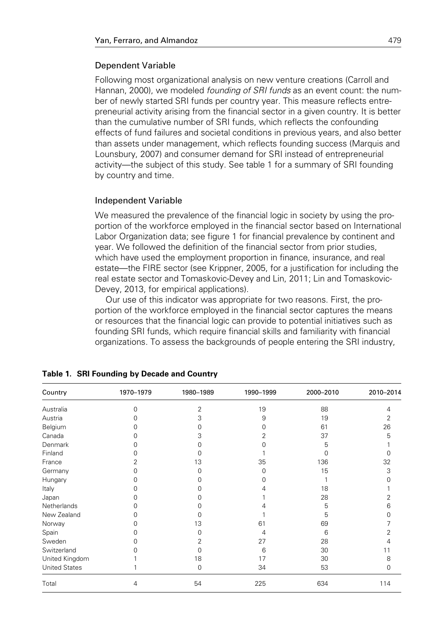### Dependent Variable

Following most organizational analysis on new venture creations (Carroll and Hannan, 2000), we modeled founding of SRI funds as an event count: the number of newly started SRI funds per country year. This measure reflects entrepreneurial activity arising from the financial sector in a given country. It is better than the cumulative number of SRI funds, which reflects the confounding effects of fund failures and societal conditions in previous years, and also better than assets under management, which reflects founding success (Marquis and Lounsbury, 2007) and consumer demand for SRI instead of entrepreneurial activity—the subject of this study. See table 1 for a summary of SRI founding by country and time.

### Independent Variable

We measured the prevalence of the financial logic in society by using the proportion of the workforce employed in the financial sector based on International Labor Organization data; see figure 1 for financial prevalence by continent and year. We followed the definition of the financial sector from prior studies, which have used the employment proportion in finance, insurance, and real estate—the FIRE sector (see Krippner, 2005, for a justification for including the real estate sector and Tomaskovic-Devey and Lin, 2011; Lin and Tomaskovic-Devey, 2013, for empirical applications).

Our use of this indicator was appropriate for two reasons. First, the proportion of the workforce employed in the financial sector captures the means or resources that the financial logic can provide to potential initiatives such as founding SRI funds, which require financial skills and familiarity with financial organizations. To assess the backgrounds of people entering the SRI industry,

| Country              | 1970-1979 | 1980-1989      | 1990-1999 | 2000-2010 | 2010-2014   |
|----------------------|-----------|----------------|-----------|-----------|-------------|
| Australia            | 0         | $\overline{2}$ | 19        | 88        |             |
| Austria              | $\Omega$  | 3              | 9         | 19        | 2           |
| Belgium              | $\Omega$  | 0              | 0         | 61        | 26          |
| Canada               | $\Omega$  | 3              | 2         | 37        | 5           |
| Denmark              | O         | ∩              |           | 5         |             |
| Finland              | 0         | ∩              |           | 0         |             |
| France               | 2         | 13             | 35        | 136       | 32          |
| Germany              | 0         | $\Omega$       | 0         | 15        | 3           |
| Hungary              | $\Omega$  | 0              |           |           | n           |
| Italy                | O         | ∩              |           | 18        |             |
| Japan                | $\Omega$  | $\Omega$       |           | 28        |             |
| Netherlands          | O         |                |           | 5         | 6           |
| New Zealand          | 0         | ∩              |           | 5         |             |
| Norway               | O         | 13             | 61        | 69        |             |
| Spain                | 0         | $\Omega$       | 4         | 6         |             |
| Sweden               | $\Omega$  | 2              | 27        | 28        |             |
| Switzerland          |           | ∩              | 6         | 30        | 11          |
| United Kingdom       |           | 18             | 17        | 30        | 8           |
| <b>United States</b> |           | 0              | 34        | 53        | $\mathbf 0$ |
| Total                | 4         | 54             | 225       | 634       | 114         |

Table 1. SRI Founding by Decade and Country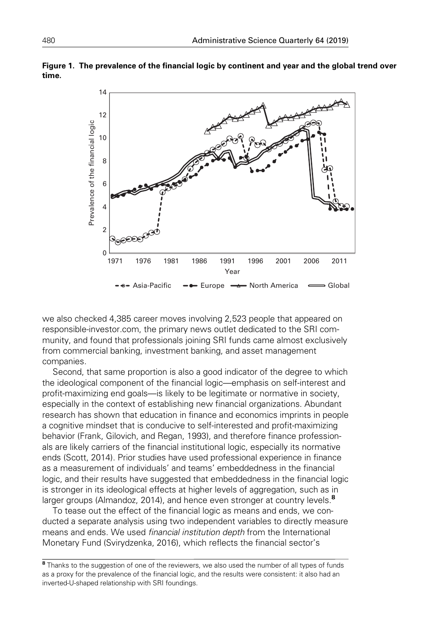

Figure 1. The prevalence of the financial logic by continent and year and the global trend over time.

we also checked 4,385 career moves involving 2,523 people that appeared on responsible-investor.com, the primary news outlet dedicated to the SRI community, and found that professionals joining SRI funds came almost exclusively from commercial banking, investment banking, and asset management companies.

Second, that same proportion is also a good indicator of the degree to which the ideological component of the financial logic—emphasis on self-interest and profit-maximizing end goals—is likely to be legitimate or normative in society, especially in the context of establishing new financial organizations. Abundant research has shown that education in finance and economics imprints in people a cognitive mindset that is conducive to self-interested and profit-maximizing behavior (Frank, Gilovich, and Regan, 1993), and therefore finance professionals are likely carriers of the financial institutional logic, especially its normative ends (Scott, 2014). Prior studies have used professional experience in finance as a measurement of individuals' and teams' embeddedness in the financial logic, and their results have suggested that embeddedness in the financial logic is stronger in its ideological effects at higher levels of aggregation, such as in larger groups (Almandoz, 2014), and hence even stronger at country levels.<sup>8</sup>

To tease out the effect of the financial logic as means and ends, we conducted a separate analysis using two independent variables to directly measure means and ends. We used *financial institution depth* from the International Monetary Fund (Svirydzenka, 2016), which reflects the financial sector's

<sup>&</sup>lt;sup>8</sup> Thanks to the suggestion of one of the reviewers, we also used the number of all types of funds as a proxy for the prevalence of the financial logic, and the results were consistent: it also had an inverted-U-shaped relationship with SRI foundings.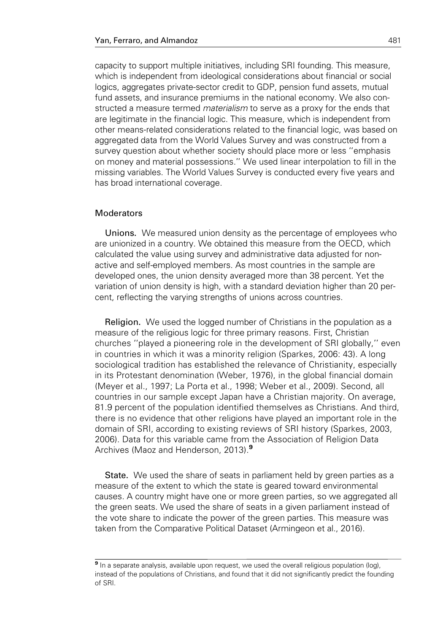capacity to support multiple initiatives, including SRI founding. This measure, which is independent from ideological considerations about financial or social logics, aggregates private-sector credit to GDP, pension fund assets, mutual fund assets, and insurance premiums in the national economy. We also constructed a measure termed *materialism* to serve as a proxy for the ends that are legitimate in the financial logic. This measure, which is independent from other means-related considerations related to the financial logic, was based on aggregated data from the World Values Survey and was constructed from a survey question about whether society should place more or less ''emphasis on money and material possessions.'' We used linear interpolation to fill in the missing variables. The World Values Survey is conducted every five years and has broad international coverage.

### **Moderators**

Unions. We measured union density as the percentage of employees who are unionized in a country. We obtained this measure from the OECD, which calculated the value using survey and administrative data adjusted for nonactive and self-employed members. As most countries in the sample are developed ones, the union density averaged more than 38 percent. Yet the variation of union density is high, with a standard deviation higher than 20 percent, reflecting the varying strengths of unions across countries.

Religion. We used the logged number of Christians in the population as a measure of the religious logic for three primary reasons. First, Christian churches ''played a pioneering role in the development of SRI globally,'' even in countries in which it was a minority religion (Sparkes, 2006: 43). A long sociological tradition has established the relevance of Christianity, especially in its Protestant denomination (Weber, 1976), in the global financial domain (Meyer et al., 1997; La Porta et al., 1998; Weber et al., 2009). Second, all countries in our sample except Japan have a Christian majority. On average, 81.9 percent of the population identified themselves as Christians. And third, there is no evidence that other religions have played an important role in the domain of SRI, according to existing reviews of SRI history (Sparkes, 2003, 2006). Data for this variable came from the Association of Religion Data Archives (Maoz and Henderson, 2013).<sup>9</sup>

State. We used the share of seats in parliament held by green parties as a measure of the extent to which the state is geared toward environmental causes. A country might have one or more green parties, so we aggregated all the green seats. We used the share of seats in a given parliament instead of the vote share to indicate the power of the green parties. This measure was taken from the Comparative Political Dataset (Armingeon et al., 2016).

<sup>&</sup>lt;sup>9</sup> In a separate analysis, available upon request, we used the overall religious population (log), instead of the populations of Christians, and found that it did not significantly predict the founding of SRI.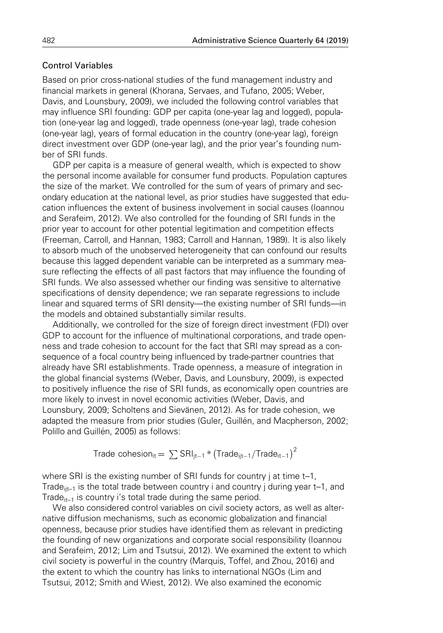### Control Variables

Based on prior cross-national studies of the fund management industry and financial markets in general (Khorana, Servaes, and Tufano, 2005; Weber, Davis, and Lounsbury, 2009), we included the following control variables that may influence SRI founding: GDP per capita (one-year lag and logged), population (one-year lag and logged), trade openness (one-year lag), trade cohesion (one-year lag), years of formal education in the country (one-year lag), foreign direct investment over GDP (one-year lag), and the prior year's founding number of SRI funds.

GDP per capita is a measure of general wealth, which is expected to show the personal income available for consumer fund products. Population captures the size of the market. We controlled for the sum of years of primary and secondary education at the national level, as prior studies have suggested that education influences the extent of business involvement in social causes (Ioannou and Serafeim, 2012). We also controlled for the founding of SRI funds in the prior year to account for other potential legitimation and competition effects (Freeman, Carroll, and Hannan, 1983; Carroll and Hannan, 1989). It is also likely to absorb much of the unobserved heterogeneity that can confound our results because this lagged dependent variable can be interpreted as a summary measure reflecting the effects of all past factors that may influence the founding of SRI funds. We also assessed whether our finding was sensitive to alternative specifications of density dependence; we ran separate regressions to include linear and squared terms of SRI density—the existing number of SRI funds—in the models and obtained substantially similar results.

Additionally, we controlled for the size of foreign direct investment (FDI) over GDP to account for the influence of multinational corporations, and trade openness and trade cohesion to account for the fact that SRI may spread as a consequence of a focal country being influenced by trade-partner countries that already have SRI establishments. Trade openness, a measure of integration in the global financial systems (Weber, Davis, and Lounsbury, 2009), is expected to positively influence the rise of SRI funds, as economically open countries are more likely to invest in novel economic activities (Weber, Davis, and Lounsbury, 2009; Scholtens and Sievänen, 2012). As for trade cohesion, we adapted the measure from prior studies (Guler, Guillén, and Macpherson, 2002; Polillo and Guillén, 2005) as follows:

Trade cohesion $_{\sf it} = \left.\sum \mathsf{SRI}_\mathsf{jt-1} \right.^* \left(\mathsf{Trade}_\mathsf{ijt-1} / \mathsf{Trade}_\mathsf{it-1}\right)^2$ 

where SRI is the existing number of SRI funds for country j at time t–1, Trade $_{\text{int}-1}$  is the total trade between country i and country j during year t–1, and Trade $_{it-1}$  is country i's total trade during the same period.

We also considered control variables on civil society actors, as well as alternative diffusion mechanisms, such as economic globalization and financial openness, because prior studies have identified them as relevant in predicting the founding of new organizations and corporate social responsibility (Ioannou and Serafeim, 2012; Lim and Tsutsui, 2012). We examined the extent to which civil society is powerful in the country (Marquis, Toffel, and Zhou, 2016) and the extent to which the country has links to international NGOs (Lim and Tsutsui, 2012; Smith and Wiest, 2012). We also examined the economic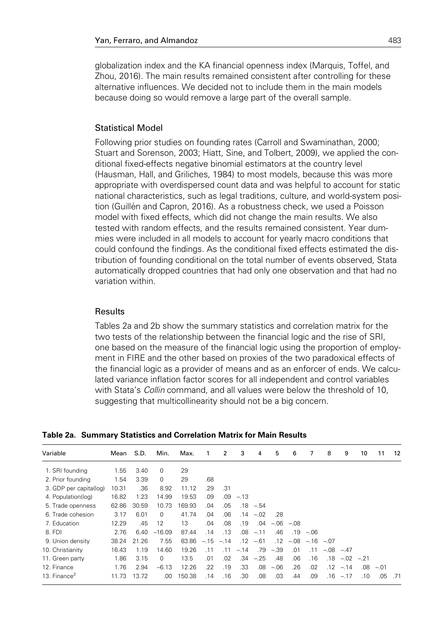globalization index and the KA financial openness index (Marquis, Toffel, and Zhou, 2016). The main results remained consistent after controlling for these alternative influences. We decided not to include them in the main models because doing so would remove a large part of the overall sample.

### Statistical Model

Following prior studies on founding rates (Carroll and Swaminathan, 2000; Stuart and Sorenson, 2003; Hiatt, Sine, and Tolbert, 2009), we applied the conditional fixed-effects negative binomial estimators at the country level (Hausman, Hall, and Griliches, 1984) to most models, because this was more appropriate with overdispersed count data and was helpful to account for static national characteristics, such as legal traditions, culture, and world-system position (Guillén and Capron, 2016). As a robustness check, we used a Poisson model with fixed effects, which did not change the main results. We also tested with random effects, and the results remained consistent. Year dummies were included in all models to account for yearly macro conditions that could confound the findings. As the conditional fixed effects estimated the distribution of founding conditional on the total number of events observed, Stata automatically dropped countries that had only one observation and that had no variation within.

### Results

Tables 2a and 2b show the summary statistics and correlation matrix for the two tests of the relationship between the financial logic and the rise of SRI, one based on the measure of the financial logic using the proportion of employment in FIRE and the other based on proxies of the two paradoxical effects of the financial logic as a provider of means and as an enforcer of ends. We calculated variance inflation factor scores for all independent and control variables with Stata's *Collin* command, and all values were below the threshold of 10. suggesting that multicollinearity should not be a big concern.

Table 2a. Summary Statistics and Correlation Matrix for Main Results

| Variable                 | Mean  | S.D.  | Min.     | Max.   | 1      | 2      | 3      | 4      | 5      | 6      | 7            | 8   | 9            | 10  | 11     | 12  |
|--------------------------|-------|-------|----------|--------|--------|--------|--------|--------|--------|--------|--------------|-----|--------------|-----|--------|-----|
| 1. SRI founding          | 1.55  | 3.40  | $\Omega$ | 29     |        |        |        |        |        |        |              |     |              |     |        |     |
| 2. Prior founding        | 1.54  | 3.39  | $\Omega$ | 29     | .68    |        |        |        |        |        |              |     |              |     |        |     |
| 3. GDP per capita(log)   | 10.31 | .36   | 8.92     | 11.12  | .29    | .31    |        |        |        |        |              |     |              |     |        |     |
| 4. Population(log)       | 16.82 | 1.23  | 14.99    | 19.53  | .09    | .09    | $-.13$ |        |        |        |              |     |              |     |        |     |
| 5. Trade openness        | 62.86 | 30.59 | 10.73    | 169.93 | .04    | .05    | .18    | $-.54$ |        |        |              |     |              |     |        |     |
| 6. Trade cohesion        | 3.17  | 6.01  | $\Omega$ | 41.74  | .04    | .06    | .14    | $-.02$ | .28    |        |              |     |              |     |        |     |
| 7. Education             | 12.29 | .45   | 12       | 13     | .04    | .08    | .19    | .04    | $-.06$ | $-.08$ |              |     |              |     |        |     |
| 8. FDI                   | 2.76  | 6.40  | $-16.09$ | 87.44  | .14    | .13    | .08    | $-.11$ | .46    |        | $.19 - .06$  |     |              |     |        |     |
| 9. Union density         | 38.24 | 21.26 | 7.55     | 83.86  | $-.15$ | $-.14$ | .12    | $-.61$ | .12    | $-.08$ | $-.16 - .07$ |     |              |     |        |     |
| 10. Christianity         | 16.43 | 1.19  | 14.60    | 19.26  | .11    | .11    | $-.14$ | .79    | $-.39$ | .01    | .11          |     | $-.08 - .47$ |     |        |     |
| 11. Green party          | 1.86  | 3.15  | $\Omega$ | 13.5   | .01    | .02    | .34    | $-.25$ | .48    | .06    | .16          | .18 | $-.02 - .21$ |     |        |     |
| 12. Finance              | 1.76  | 2.94  | $-6.13$  | 12.26  | .22    | .19    | .33    | .08    | $-.06$ | .26    | .02          | .12 | $-.14$       | .08 | $-.01$ |     |
| 13. Finance <sup>2</sup> | 11.73 | 13.72 | .00      | 150.38 | .14    | .16    | .30    | .08    | .03    | .44    | .09          | .16 | $-.17$       | .10 | .05    | .71 |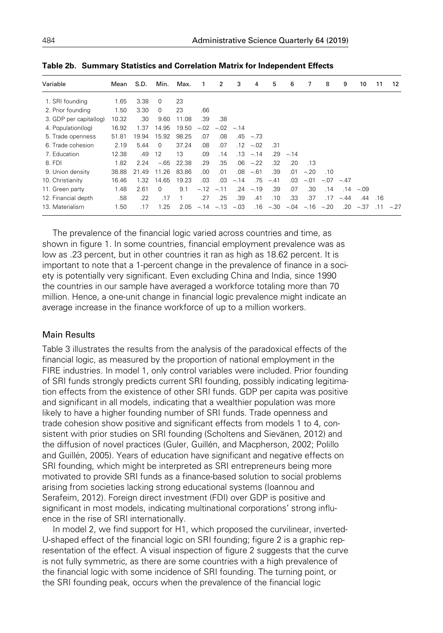| Variable               | Mean  | S.D.  | Min.     | Max.  | 1      | 2      | 3      | 4           | 5      | 6      | 7      | 8      | 9      | 10     | 11  | 12     |
|------------------------|-------|-------|----------|-------|--------|--------|--------|-------------|--------|--------|--------|--------|--------|--------|-----|--------|
| 1. SRI founding        | 1.65  | 3.38  | 0        | 23    |        |        |        |             |        |        |        |        |        |        |     |        |
| 2. Prior founding      | 1.50  | 3.30  | $\Omega$ | 23    | .66    |        |        |             |        |        |        |        |        |        |     |        |
| 3. GDP per capita(log) | 10.32 | .30   | 9.60     | 11.08 | .39    | .38    |        |             |        |        |        |        |        |        |     |        |
| 4. Population(log)     | 16.92 | 1.37  | 14.95    | 19.50 | $-.02$ | $-.02$ | $-.14$ |             |        |        |        |        |        |        |     |        |
| 5. Trade openness      | 51.81 | 19.94 | 15.92    | 98.25 | .07    | .08    |        | $.45 - .73$ |        |        |        |        |        |        |     |        |
| 6. Trade cohesion      | 2.19  | 5.44  | $\Omega$ | 37.24 | .08    | .07    | .12    | $-.02$      | .31    |        |        |        |        |        |     |        |
| 7. Education           | 12.38 | .49   | 12       | 13    | .09    | .14    | .13    | $-.14$      | .29    | $-.14$ |        |        |        |        |     |        |
| 8. FDI                 | 1.82  | 2.24  | $-.65$   | 22.38 | .29    | .35    | .06    | $-.22$      | .32    | .20    | .13    |        |        |        |     |        |
| 9. Union density       | 38.88 | 21.49 | 11.26    | 83.86 | .00    | .01    | .08    | $-.61$      | .39    | .01    | $-.20$ | .10    |        |        |     |        |
| 10. Christianity       | 16.46 | 1.32  | 14.65    | 19.23 | .03    | .03    | $-.14$ | .75         | $-.41$ | .03    | $-.01$ | $-.07$ | $-.47$ |        |     |        |
| 11. Green party        | 1.48  | 2.61  | $\Omega$ | 9.1   | $-.12$ | $-.11$ | .24    | $-.19$      | .39    | .07    | .30    | .14    | .14    | $-.09$ |     |        |
| 12. Financial depth    | .58   | .22   | .17      |       | .27    | .25    | .39    | .41         | .10    | .33    | .37    | .17    | $-.44$ | .44    | .16 |        |
| 13. Materialism        | 1.50  | .17   | 1.25     | 2.05  | $-.14$ | $-.13$ | $-.03$ | .16         | $-.30$ | $-.04$ | $-.16$ | $-.20$ | .20    | $-.37$ |     | $-.27$ |

Table 2b. Summary Statistics and Correlation Matrix for Independent Effects

The prevalence of the financial logic varied across countries and time, as shown in figure 1. In some countries, financial employment prevalence was as low as .23 percent, but in other countries it ran as high as 18.62 percent. It is important to note that a 1-percent change in the prevalence of finance in a society is potentially very significant. Even excluding China and India, since 1990 the countries in our sample have averaged a workforce totaling more than 70 million. Hence, a one-unit change in financial logic prevalence might indicate an average increase in the finance workforce of up to a million workers.

### Main Results

Table 3 illustrates the results from the analysis of the paradoxical effects of the financial logic, as measured by the proportion of national employment in the FIRE industries. In model 1, only control variables were included. Prior founding of SRI funds strongly predicts current SRI founding, possibly indicating legitimation effects from the existence of other SRI funds. GDP per capita was positive and significant in all models, indicating that a wealthier population was more likely to have a higher founding number of SRI funds. Trade openness and trade cohesion show positive and significant effects from models 1 to 4, consistent with prior studies on SRI founding (Scholtens and Sievänen, 2012) and the diffusion of novel practices (Guler, Guillén, and Macpherson, 2002; Polillo and Guillén, 2005). Years of education have significant and negative effects on SRI founding, which might be interpreted as SRI entrepreneurs being more motivated to provide SRI funds as a finance-based solution to social problems arising from societies lacking strong educational systems (Ioannou and Serafeim, 2012). Foreign direct investment (FDI) over GDP is positive and significant in most models, indicating multinational corporations' strong influence in the rise of SRI internationally.

In model 2, we find support for H1, which proposed the curvilinear, inverted-U-shaped effect of the financial logic on SRI founding; figure 2 is a graphic representation of the effect. A visual inspection of figure 2 suggests that the curve is not fully symmetric, as there are some countries with a high prevalence of the financial logic with some incidence of SRI founding. The turning point, or the SRI founding peak, occurs when the prevalence of the financial logic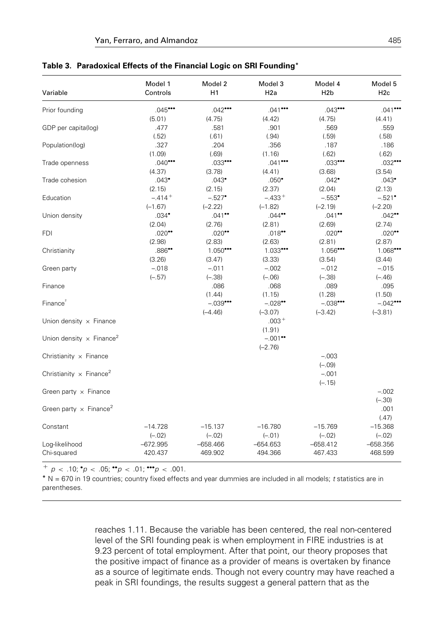Variable

| Model 2<br>H1    | Model 3<br>H2a   | Model 4<br>H <sub>2</sub> b | Model 5<br>H <sub>2c</sub> |  |  |
|------------------|------------------|-----------------------------|----------------------------|--|--|
| $.042$ $\cdots$  | $.041$ ***       | $.043$ ***                  | $.041$ ***                 |  |  |
| (4.75)           | (4.42)           | (4.75)                      | (4.41)                     |  |  |
| .581             | .901             | .569                        | .559                       |  |  |
| (.61)            | (.94)            | (.59)                       | (.58)                      |  |  |
| .204             | .356             | .187                        | .186                       |  |  |
| (.69)            | (1.16)           | (.62)                       | (.62)                      |  |  |
| $.033$           | $.041$ ***       | $.033$ ***                  | $.032$ ***                 |  |  |
| (3.78)           | (4.41)           | (3.68)                      | (3.54)                     |  |  |
| $.043^{\bullet}$ | $.050^{\bullet}$ | $.042^{\bullet}$            | $.043^{\bullet}$           |  |  |
| (2.15)           | (2.37)           | (2.04)                      | (2.13)                     |  |  |
| $-.527^{\circ}$  | $-.433+$         | $-.553$ <sup>*</sup>        | $-.521$ <sup>*</sup>       |  |  |
| $(-2.22)$        | $(-1.82)$        | $(-2.19)$                   | $(-2.20)$                  |  |  |
| 0.11             | 011              | 0.11                        | 0.12                       |  |  |

Table 3. Paradoxical Effects of the Financial Logic Table

Model 1 Controls

| (5.01)<br>.477<br>GDP per capita(log)       | (4.75)<br>.581<br>(.61)<br>.204 | (4.42)<br>.901   | (4.75)<br>.569       | (4.41)               |
|---------------------------------------------|---------------------------------|------------------|----------------------|----------------------|
|                                             |                                 |                  |                      |                      |
|                                             |                                 |                  |                      | .559                 |
| (.52)                                       |                                 | (.94)            | (.59)                | (.58)                |
| .327<br>Population(log)                     |                                 | .356             | .187                 | .186                 |
| (1.09)                                      | (.69)                           | (1.16)           | (.62)                | (.62)                |
| .040<br>Trade openness                      | .033                            | $.041$ ***       | .033                 | $.032$ ***           |
| (4.37)                                      | (3.78)                          | (4.41)           | (3.68)               | (3.54)               |
| $.043^{\bullet}$<br>Trade cohesion          | $.043^{\bullet}$                | $.050^{\bullet}$ | .042                 | $.043^{\bullet}$     |
| (2.15)                                      | (2.15)                          | (2.37)           | (2.04)               | (2.13)               |
| $-.414+$<br>Education                       | $-.527$ <sup>*</sup>            | $-.433+$         | $-.553$ <sup>*</sup> | $-.521$ <sup>*</sup> |
| $(-1.67)$                                   | $(-2.22)$                       | $(-1.82)$        | $(-2.19)$            | $(-2.20)$            |
| $.034$ <sup>*</sup><br>Union density        | .041                            | .044             | .041                 | .042                 |
| (2.04)                                      | (2.76)                          | (2.81)           | (2.69)               | (2.74)               |
| <b>FDI</b><br>.020                          | .020                            | .018             | .020                 | .020                 |
| (2.98)                                      | (2.83)                          | (2.63)           | (2.81)               | (2.87)               |
| .886<br>Christianity                        | 1.050                           | 1.033            | 1.056                | 1.068                |
| (3.26)                                      | (3.47)                          | (3.33)           | (3.54)               | (3.44)               |
| $-.018$<br>Green party                      | $-.011$                         | $-.002$          | $-.012$              | $-.015$              |
| $(-.57)$                                    | $(-.38)$                        | $(-.06)$         | $(-.38)$             | $(-.46)$             |
| Finance                                     | .086                            | .068             | .089                 | .095                 |
|                                             | (1.44)                          | (1.15)           | (1.28)               | (1.50)               |
| Finance <sup>2</sup>                        | $-.039$ ***                     | $-.028$          | $-.038$              | $-.042$ **           |
|                                             | $(-4.46)$                       | $(-3.07)$        | $(-3.42)$            | $(-3.81)$            |
| Union density $\times$ Finance              |                                 | $.003 +$         |                      |                      |
|                                             |                                 | (1.91)           |                      |                      |
| Union density $\times$ Finance <sup>2</sup> |                                 | $-.001$ **       |                      |                      |
|                                             |                                 | $(-2.76)$        |                      |                      |
| Christianity $\times$ Finance               |                                 |                  | $-.003$              |                      |
|                                             |                                 |                  | $(-.09)$             |                      |
| Christianity $\times$ Finance <sup>2</sup>  |                                 |                  | $-.001$              |                      |
|                                             |                                 |                  | $(-.15)$             |                      |
| Green party $\times$ Finance                |                                 |                  |                      | $-.002$              |
|                                             |                                 |                  |                      | $(-.30)$             |
| Green party $\times$ Finance <sup>2</sup>   |                                 |                  |                      | .001                 |
|                                             |                                 |                  |                      | (.47)                |
| $-14.728$<br>Constant                       | $-15.137$                       | $-16.780$        | $-15.769$            | $-15.368$            |
| $(-.02)$                                    | $(-.02)$                        | $(-.01)$         | $(-.02)$             | $(-.02)$             |
| $-672.995$<br>Log-likelihood                | $-658.466$                      | $-654.653$       | $-658.412$           | $-658.356$           |
| 420.437<br>Chi-squared                      | 469.902                         | 494.366          | 467.433              | 468.599              |

 $^+$   $p$  < .10;  $^{\bullet}p$  < .05;  $^{\bullet\bullet}p$  < .01;  $^{\bullet\bullet\bullet}p$  < .001.

\* N = 670 in 19 countries; country fixed effects and year dummies are included in all models; t statistics are in parentheses.

> reaches 1.11. Because the variable has been centered, the real non-centered level of the SRI founding peak is when employment in FIRE industries is at 9.23 percent of total employment. After that point, our theory proposes that the positive impact of finance as a provider of means is overtaken by finance as a source of legitimate ends. Though not every country may have reached a peak in SRI foundings, the results suggest a general pattern that as the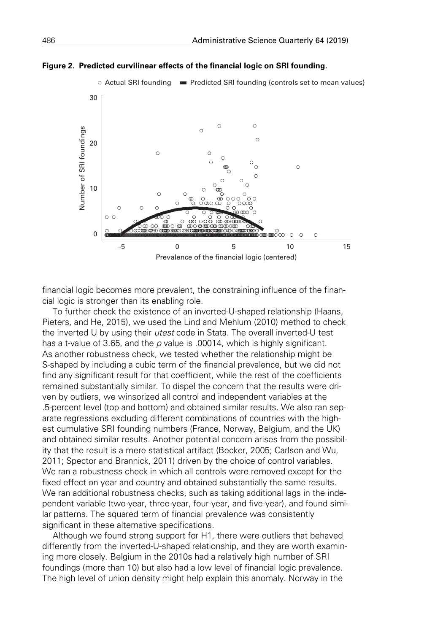

#### Figure 2. Predicted curvilinear effects of the financial logic on SRI founding.

financial logic becomes more prevalent, the constraining influence of the financial logic is stronger than its enabling role.

To further check the existence of an inverted-U-shaped relationship (Haans, Pieters, and He, 2015), we used the Lind and Mehlum (2010) method to check the inverted U by using their *utest* code in Stata. The overall inverted-U test has a t-value of 3.65, and the p value is .00014, which is highly significant. As another robustness check, we tested whether the relationship might be S-shaped by including a cubic term of the financial prevalence, but we did not find any significant result for that coefficient, while the rest of the coefficients remained substantially similar. To dispel the concern that the results were driven by outliers, we winsorized all control and independent variables at the .5-percent level (top and bottom) and obtained similar results. We also ran separate regressions excluding different combinations of countries with the highest cumulative SRI founding numbers (France, Norway, Belgium, and the UK) and obtained similar results. Another potential concern arises from the possibility that the result is a mere statistical artifact (Becker, 2005; Carlson and Wu, 2011; Spector and Brannick, 2011) driven by the choice of control variables. We ran a robustness check in which all controls were removed except for the fixed effect on year and country and obtained substantially the same results. We ran additional robustness checks, such as taking additional lags in the independent variable (two-year, three-year, four-year, and five-year), and found similar patterns. The squared term of financial prevalence was consistently significant in these alternative specifications.

Although we found strong support for H1, there were outliers that behaved differently from the inverted-U-shaped relationship, and they are worth examining more closely. Belgium in the 2010s had a relatively high number of SRI foundings (more than 10) but also had a low level of financial logic prevalence. The high level of union density might help explain this anomaly. Norway in the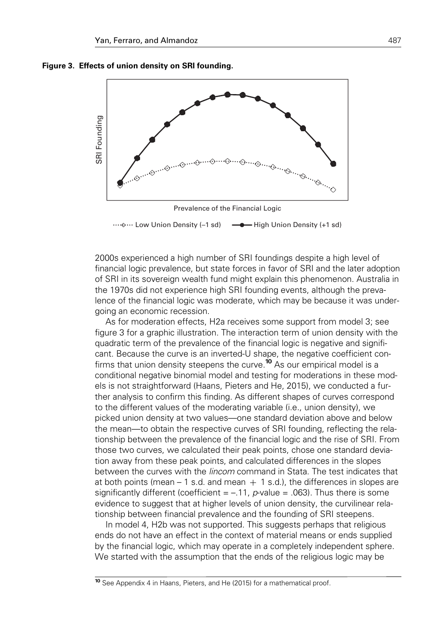



2000s experienced a high number of SRI foundings despite a high level of financial logic prevalence, but state forces in favor of SRI and the later adoption of SRI in its sovereign wealth fund might explain this phenomenon. Australia in the 1970s did not experience high SRI founding events, although the prevalence of the financial logic was moderate, which may be because it was undergoing an economic recession.

As for moderation effects, H2a receives some support from model 3; see figure 3 for a graphic illustration. The interaction term of union density with the quadratic term of the prevalence of the financial logic is negative and significant. Because the curve is an inverted-U shape, the negative coefficient confirms that union density steepens the curve.<sup>10</sup> As our empirical model is a conditional negative binomial model and testing for moderations in these models is not straightforward (Haans, Pieters and He, 2015), we conducted a further analysis to confirm this finding. As different shapes of curves correspond to the different values of the moderating variable (i.e., union density), we picked union density at two values—one standard deviation above and below the mean—to obtain the respective curves of SRI founding, reflecting the relationship between the prevalence of the financial logic and the rise of SRI. From those two curves, we calculated their peak points, chose one standard deviation away from these peak points, and calculated differences in the slopes between the curves with the *lincom* command in Stata. The test indicates that at both points (mean  $-1$  s.d. and mean  $+1$  s.d.), the differences in slopes are significantly different (coefficient  $= -.11$ , p-value  $= .063$ ). Thus there is some evidence to suggest that at higher levels of union density, the curvilinear relationship between financial prevalence and the founding of SRI steepens.

In model 4, H2b was not supported. This suggests perhaps that religious ends do not have an effect in the context of material means or ends supplied by the financial logic, which may operate in a completely independent sphere. We started with the assumption that the ends of the religious logic may be

 $\overline{10}$  See Appendix 4 in Haans, Pieters, and He (2015) for a mathematical proof.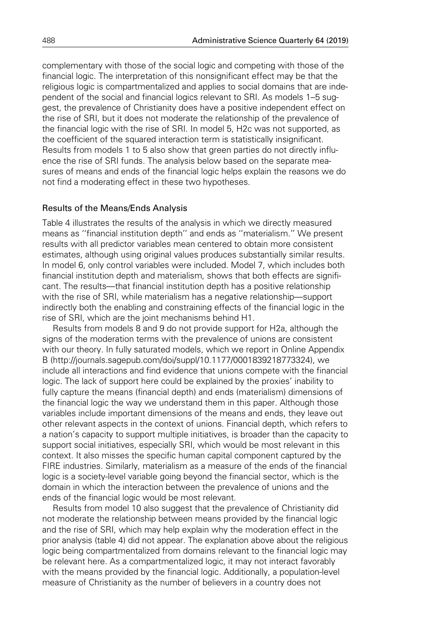complementary with those of the social logic and competing with those of the financial logic. The interpretation of this nonsignificant effect may be that the religious logic is compartmentalized and applies to social domains that are independent of the social and financial logics relevant to SRI. As models 1–5 suggest, the prevalence of Christianity does have a positive independent effect on the rise of SRI, but it does not moderate the relationship of the prevalence of the financial logic with the rise of SRI. In model 5, H2c was not supported, as the coefficient of the squared interaction term is statistically insignificant. Results from models 1 to 5 also show that green parties do not directly influence the rise of SRI funds. The analysis below based on the separate measures of means and ends of the financial logic helps explain the reasons we do not find a moderating effect in these two hypotheses.

### Results of the Means/Ends Analysis

Table 4 illustrates the results of the analysis in which we directly measured means as ''financial institution depth'' and ends as ''materialism.'' We present results with all predictor variables mean centered to obtain more consistent estimates, although using original values produces substantially similar results. In model 6, only control variables were included. Model 7, which includes both financial institution depth and materialism, shows that both effects are significant. The results—that financial institution depth has a positive relationship with the rise of SRI, while materialism has a negative relationship—support indirectly both the enabling and constraining effects of the financial logic in the rise of SRI, which are the joint mechanisms behind H1.

Results from models 8 and 9 do not provide support for H2a, although the signs of the moderation terms with the prevalence of unions are consistent with our theory. In fully saturated models, which we report in Online Appendix B (http://journals.sagepub.com/doi/suppl/10.1177/0001839218773324), we include all interactions and find evidence that unions compete with the financial logic. The lack of support here could be explained by the proxies' inability to fully capture the means (financial depth) and ends (materialism) dimensions of the financial logic the way we understand them in this paper. Although those variables include important dimensions of the means and ends, they leave out other relevant aspects in the context of unions. Financial depth, which refers to a nation's capacity to support multiple initiatives, is broader than the capacity to support social initiatives, especially SRI, which would be most relevant in this context. It also misses the specific human capital component captured by the FIRE industries. Similarly, materialism as a measure of the ends of the financial logic is a society-level variable going beyond the financial sector, which is the domain in which the interaction between the prevalence of unions and the ends of the financial logic would be most relevant.

Results from model 10 also suggest that the prevalence of Christianity did not moderate the relationship between means provided by the financial logic and the rise of SRI, which may help explain why the moderation effect in the prior analysis (table 4) did not appear. The explanation above about the religious logic being compartmentalized from domains relevant to the financial logic may be relevant here. As a compartmentalized logic, it may not interact favorably with the means provided by the financial logic. Additionally, a population-level measure of Christianity as the number of believers in a country does not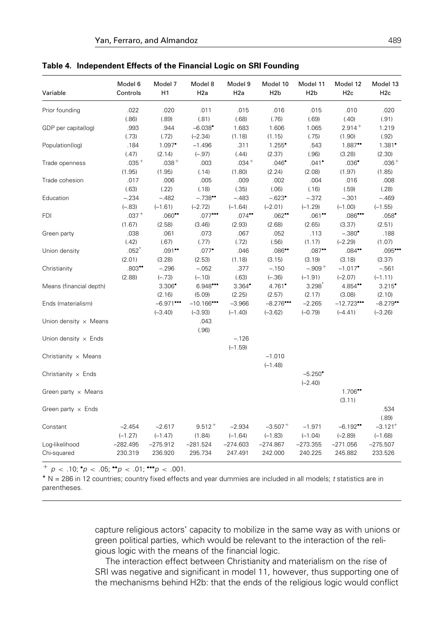| Variable                     | Model 6<br>Controls   | Model 7<br>H1         | Model 8<br>H <sub>2</sub> a | Model 9<br>H <sub>2</sub> a | Model 10<br>H <sub>2</sub> b | Model 11<br>H <sub>2</sub> b | Model 12<br>H <sub>2c</sub>        | Model 13<br>H <sub>2c</sub>        |
|------------------------------|-----------------------|-----------------------|-----------------------------|-----------------------------|------------------------------|------------------------------|------------------------------------|------------------------------------|
| Prior founding               | .022                  | .020                  | .011                        | .015                        | .016                         | .015                         | .010                               | .020                               |
|                              | (.86)                 | (.89)                 | (.81)                       | (.68)                       | (.76)                        | (.69)                        | (.40)                              | (.91)                              |
| GDP per capita(log)          | .993                  | .944                  | $-6.038$                    | 1.683                       | 1.606                        | 1.065                        | $2.914 +$                          | 1.219                              |
|                              | (.73)                 | (.72)                 | $(-2.34)$                   | (1.18)                      | (1.15)                       | (.75)                        | (1.90)                             | (.92)                              |
| Population(log)              | .184                  | 1.097                 | $-1.496$                    | .311                        | $1.255$ <sup>*</sup>         | .543                         | 1.887                              | $1.381$ <sup>*</sup>               |
|                              | (.47)                 | (2.14)                | $(-.97)$                    | (.44)                       | (2.37)                       | (.96)                        | (3.28)                             | (2.30)                             |
| Trade openness               | $.035 +$              | $.038 +$              | .003                        | $.034 +$                    | $.046^{\bullet}$             | $.041$ <sup>*</sup>          | $.036$ <sup>*</sup>                | $.036 +$                           |
|                              | (1.95)                | (1.95)                | (.14)                       | (1.80)                      | (2.24)                       | (2.08)                       | (1.97)                             | (1.85)                             |
| Trade cohesion               | .017                  | .006                  | .005                        | .009                        | .002                         | .004                         | .016                               | .008                               |
|                              | (.63)                 | (.22)                 | (.18)                       | (.35)                       | (.06)                        | (.16)                        | (.59)                              | (.28)                              |
| Education                    | $-.234$               | $-.482$               | $-.738$                     | $-.483$                     | $-.623"$                     | $-.372$                      | $-.301$                            | $-.469$                            |
|                              | $(-.83)$              | $(-1.61)$             | $(-2.72)$                   | $(-1.64)$                   | $(-2.01)$                    | $(-1.29)$                    | $(-1.00)$                          | $(-1.55)$                          |
| <b>FDI</b>                   | $.037 +$              | .060                  | .077                        | .074                        | .062                         | .061                         | .086                               | $.058^{\bullet}$                   |
|                              | (1.67)                | (2.58)                | (3.46)                      | (2.93)                      | (2.68)                       | (2.65)                       | (3.37)                             | (2.51)                             |
| Green party                  | .038                  | .061                  | .073                        | .067                        | .052                         | .113                         | $-.380^{\circ}$                    | .188                               |
|                              | (.42)                 | (.67)                 | (.77)                       | (.72)                       | (.56)                        | (1.17)                       | $(-2.29)$                          | (1.07)                             |
| Union density                | $.052$ <sup>*</sup>   | .091                  | $.077^{\circ}$              | .046                        | .086                         | .087                         | .084                               | .095                               |
|                              | (2.01)                | (3.28)                | (2.53)                      | (1.18)                      | (3.15)                       | (3.19)                       | (3.18)                             | (3.37)                             |
| Christianity                 | .803                  | $-.296$               | $-.052$                     | .377                        | $-.150$                      | $-.909+$                     | $-1.017$ <sup>*</sup>              | $-.561$                            |
|                              | (2.88)                | $(-.73)$              | $(-.10)$                    | (.63)                       | $(-.36)$                     | $(-1.91)$                    | $(-2.07)$                          | $(-1.11)$                          |
| Means (financial depth)      |                       | $3.306^{\circ}$       | 6.948                       | $3.364^{\circ}$             | $4.761$ <sup>*</sup>         | 3.298                        | 4.854**                            | $3.215^{\circ}$                    |
|                              |                       | (2.16)                | (5.09)                      | (2.25)                      | (2.57)                       | (2.17)                       | (3.08)                             | (2.10)                             |
| Ends (materialism)           |                       | $-6.971$ ***          | $-10.166$ ***               | $-3.966$                    | $-8.276$ ***                 | $-2.265$                     | $-12.723$ ***                      | $-8.279$                           |
|                              |                       | $(-3.40)$             | $(-3.93)$                   | $(-1.40)$                   | $(-3.62)$                    | $(-0.79)$                    | $(-4.41)$                          | $(-3.26)$                          |
| Union density $\times$ Means |                       |                       | .043<br>(.96)               |                             |                              |                              |                                    |                                    |
| Union density $\times$ Ends  |                       |                       |                             | $-.126$                     |                              |                              |                                    |                                    |
|                              |                       |                       |                             | $(-1.59)$                   |                              |                              |                                    |                                    |
| Christianity $\times$ Means  |                       |                       |                             |                             | $-1.010$                     |                              |                                    |                                    |
|                              |                       |                       |                             |                             | $(-1.48)$                    |                              |                                    |                                    |
| Christianity $\times$ Ends   |                       |                       |                             |                             |                              | $-5.250$                     |                                    |                                    |
| Green party $\times$ Means   |                       |                       |                             |                             |                              | $(-2.40)$                    | 1.706                              |                                    |
|                              |                       |                       |                             |                             |                              |                              | (3.11)                             |                                    |
| Green party $\times$ Ends    |                       |                       |                             |                             |                              |                              |                                    | .534<br>(.89)                      |
| Constant                     | $-2.454$<br>$(-1.27)$ | $-2.617$<br>$(-1.47)$ | $9.512 +$<br>(1.84)         | $-2.934$<br>$(-1.64)$       | $-3.507+$<br>$(-1.83)$       | $-1.971$<br>$(-1.04)$        | $-6.192$ <sup>*</sup><br>$(-2.89)$ | $-3.121$ <sup>+</sup><br>$(-1.68)$ |
| Log-likelihood               | $-282.495$            | $-275.912$            | $-281.524$                  | $-274.603$                  | $-274.867$                   | $-273.355$                   | $-271.056$                         | $-275.507$                         |
| Chi-squared                  | 230.319               | 236.920               | 295.734                     | 247.491                     | 242.000                      | 240.225                      | 245.882                            | 233.526                            |

 $^+$   $p$  < .10;  $^{\bullet}p$  < .05;  $^{\bullet\bullet}p$  < .01;  $^{\bullet\bullet\bullet}p$  < .001.

\* N = 286 in 12 countries; country fixed effects and year dummies are included in all models; t statistics are in parentheses.

> capture religious actors' capacity to mobilize in the same way as with unions or green political parties, which would be relevant to the interaction of the religious logic with the means of the financial logic.

> The interaction effect between Christianity and materialism on the rise of SRI was negative and significant in model 11, however, thus supporting one of the mechanisms behind H2b: that the ends of the religious logic would conflict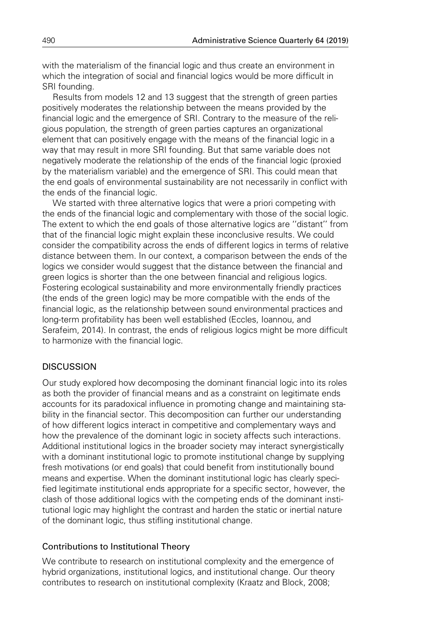with the materialism of the financial logic and thus create an environment in which the integration of social and financial logics would be more difficult in SRI founding.

Results from models 12 and 13 suggest that the strength of green parties positively moderates the relationship between the means provided by the financial logic and the emergence of SRI. Contrary to the measure of the religious population, the strength of green parties captures an organizational element that can positively engage with the means of the financial logic in a way that may result in more SRI founding. But that same variable does not negatively moderate the relationship of the ends of the financial logic (proxied by the materialism variable) and the emergence of SRI. This could mean that the end goals of environmental sustainability are not necessarily in conflict with the ends of the financial logic.

We started with three alternative logics that were a priori competing with the ends of the financial logic and complementary with those of the social logic. The extent to which the end goals of those alternative logics are ''distant'' from that of the financial logic might explain these inconclusive results. We could consider the compatibility across the ends of different logics in terms of relative distance between them. In our context, a comparison between the ends of the logics we consider would suggest that the distance between the financial and green logics is shorter than the one between financial and religious logics. Fostering ecological sustainability and more environmentally friendly practices (the ends of the green logic) may be more compatible with the ends of the financial logic, as the relationship between sound environmental practices and long-term profitability has been well established (Eccles, Ioannou, and Serafeim, 2014). In contrast, the ends of religious logics might be more difficult to harmonize with the financial logic.

### **DISCUSSION**

Our study explored how decomposing the dominant financial logic into its roles as both the provider of financial means and as a constraint on legitimate ends accounts for its paradoxical influence in promoting change and maintaining stability in the financial sector. This decomposition can further our understanding of how different logics interact in competitive and complementary ways and how the prevalence of the dominant logic in society affects such interactions. Additional institutional logics in the broader society may interact synergistically with a dominant institutional logic to promote institutional change by supplying fresh motivations (or end goals) that could benefit from institutionally bound means and expertise. When the dominant institutional logic has clearly specified legitimate institutional ends appropriate for a specific sector, however, the clash of those additional logics with the competing ends of the dominant institutional logic may highlight the contrast and harden the static or inertial nature of the dominant logic, thus stifling institutional change.

### Contributions to Institutional Theory

We contribute to research on institutional complexity and the emergence of hybrid organizations, institutional logics, and institutional change. Our theory contributes to research on institutional complexity (Kraatz and Block, 2008;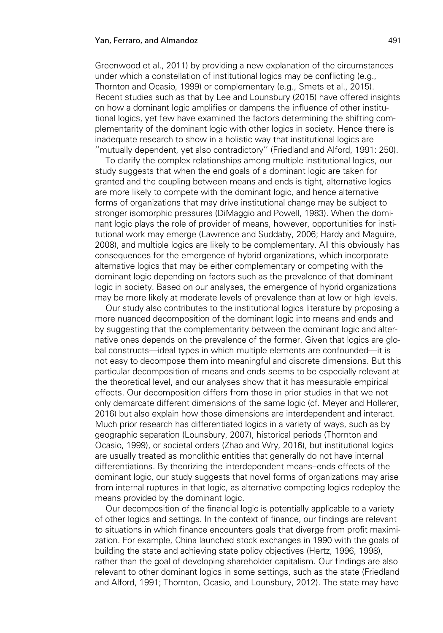Greenwood et al., 2011) by providing a new explanation of the circumstances under which a constellation of institutional logics may be conflicting (e.g., Thornton and Ocasio, 1999) or complementary (e.g., Smets et al., 2015). Recent studies such as that by Lee and Lounsbury (2015) have offered insights on how a dominant logic amplifies or dampens the influence of other institutional logics, yet few have examined the factors determining the shifting complementarity of the dominant logic with other logics in society. Hence there is inadequate research to show in a holistic way that institutional logics are ''mutually dependent, yet also contradictory'' (Friedland and Alford, 1991: 250).

To clarify the complex relationships among multiple institutional logics, our study suggests that when the end goals of a dominant logic are taken for granted and the coupling between means and ends is tight, alternative logics are more likely to compete with the dominant logic, and hence alternative forms of organizations that may drive institutional change may be subject to stronger isomorphic pressures (DiMaggio and Powell, 1983). When the dominant logic plays the role of provider of means, however, opportunities for institutional work may emerge (Lawrence and Suddaby, 2006; Hardy and Maguire, 2008), and multiple logics are likely to be complementary. All this obviously has consequences for the emergence of hybrid organizations, which incorporate alternative logics that may be either complementary or competing with the dominant logic depending on factors such as the prevalence of that dominant logic in society. Based on our analyses, the emergence of hybrid organizations may be more likely at moderate levels of prevalence than at low or high levels.

Our study also contributes to the institutional logics literature by proposing a more nuanced decomposition of the dominant logic into means and ends and by suggesting that the complementarity between the dominant logic and alternative ones depends on the prevalence of the former. Given that logics are global constructs—ideal types in which multiple elements are confounded—it is not easy to decompose them into meaningful and discrete dimensions. But this particular decomposition of means and ends seems to be especially relevant at the theoretical level, and our analyses show that it has measurable empirical effects. Our decomposition differs from those in prior studies in that we not only demarcate different dimensions of the same logic (cf. Meyer and Hollerer, 2016) but also explain how those dimensions are interdependent and interact. Much prior research has differentiated logics in a variety of ways, such as by geographic separation (Lounsbury, 2007), historical periods (Thornton and Ocasio, 1999), or societal orders (Zhao and Wry, 2016), but institutional logics are usually treated as monolithic entities that generally do not have internal differentiations. By theorizing the interdependent means–ends effects of the dominant logic, our study suggests that novel forms of organizations may arise from internal ruptures in that logic, as alternative competing logics redeploy the means provided by the dominant logic.

Our decomposition of the financial logic is potentially applicable to a variety of other logics and settings. In the context of finance, our findings are relevant to situations in which finance encounters goals that diverge from profit maximization. For example, China launched stock exchanges in 1990 with the goals of building the state and achieving state policy objectives (Hertz, 1996, 1998), rather than the goal of developing shareholder capitalism. Our findings are also relevant to other dominant logics in some settings, such as the state (Friedland and Alford, 1991; Thornton, Ocasio, and Lounsbury, 2012). The state may have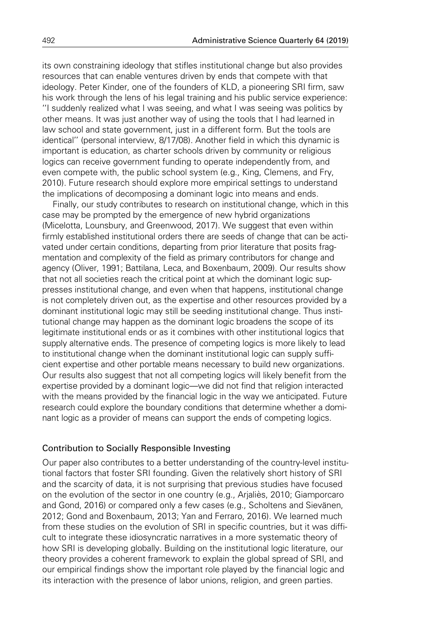its own constraining ideology that stifles institutional change but also provides resources that can enable ventures driven by ends that compete with that ideology. Peter Kinder, one of the founders of KLD, a pioneering SRI firm, saw his work through the lens of his legal training and his public service experience: ''I suddenly realized what I was seeing, and what I was seeing was politics by other means. It was just another way of using the tools that I had learned in law school and state government, just in a different form. But the tools are identical'' (personal interview, 8/17/08). Another field in which this dynamic is important is education, as charter schools driven by community or religious logics can receive government funding to operate independently from, and even compete with, the public school system (e.g., King, Clemens, and Fry, 2010). Future research should explore more empirical settings to understand the implications of decomposing a dominant logic into means and ends.

Finally, our study contributes to research on institutional change, which in this case may be prompted by the emergence of new hybrid organizations (Micelotta, Lounsbury, and Greenwood, 2017). We suggest that even within firmly established institutional orders there are seeds of change that can be activated under certain conditions, departing from prior literature that posits fragmentation and complexity of the field as primary contributors for change and agency (Oliver, 1991; Battilana, Leca, and Boxenbaum, 2009). Our results show that not all societies reach the critical point at which the dominant logic suppresses institutional change, and even when that happens, institutional change is not completely driven out, as the expertise and other resources provided by a dominant institutional logic may still be seeding institutional change. Thus institutional change may happen as the dominant logic broadens the scope of its legitimate institutional ends or as it combines with other institutional logics that supply alternative ends. The presence of competing logics is more likely to lead to institutional change when the dominant institutional logic can supply sufficient expertise and other portable means necessary to build new organizations. Our results also suggest that not all competing logics will likely benefit from the expertise provided by a dominant logic—we did not find that religion interacted with the means provided by the financial logic in the way we anticipated. Future research could explore the boundary conditions that determine whether a dominant logic as a provider of means can support the ends of competing logics.

### Contribution to Socially Responsible Investing

Our paper also contributes to a better understanding of the country-level institutional factors that foster SRI founding. Given the relatively short history of SRI and the scarcity of data, it is not surprising that previous studies have focused on the evolution of the sector in one country (e.g., Arjaliès, 2010; Giamporcaro and Gond, 2016) or compared only a few cases (e.g., Scholtens and Sievänen, 2012; Gond and Boxenbaum, 2013; Yan and Ferraro, 2016). We learned much from these studies on the evolution of SRI in specific countries, but it was difficult to integrate these idiosyncratic narratives in a more systematic theory of how SRI is developing globally. Building on the institutional logic literature, our theory provides a coherent framework to explain the global spread of SRI, and our empirical findings show the important role played by the financial logic and its interaction with the presence of labor unions, religion, and green parties.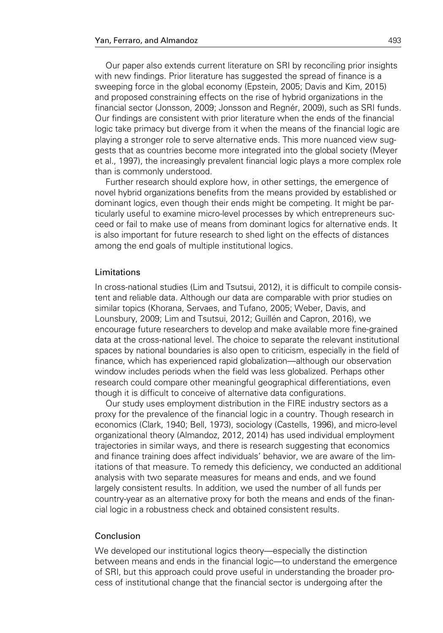Our paper also extends current literature on SRI by reconciling prior insights with new findings. Prior literature has suggested the spread of finance is a sweeping force in the global economy (Epstein, 2005; Davis and Kim, 2015) and proposed constraining effects on the rise of hybrid organizations in the financial sector (Jonsson, 2009; Jonsson and Regnér, 2009), such as SRI funds. Our findings are consistent with prior literature when the ends of the financial logic take primacy but diverge from it when the means of the financial logic are playing a stronger role to serve alternative ends. This more nuanced view suggests that as countries become more integrated into the global society (Meyer et al., 1997), the increasingly prevalent financial logic plays a more complex role than is commonly understood.

Further research should explore how, in other settings, the emergence of novel hybrid organizations benefits from the means provided by established or dominant logics, even though their ends might be competing. It might be particularly useful to examine micro-level processes by which entrepreneurs succeed or fail to make use of means from dominant logics for alternative ends. It is also important for future research to shed light on the effects of distances among the end goals of multiple institutional logics.

#### Limitations

In cross-national studies (Lim and Tsutsui, 2012), it is difficult to compile consistent and reliable data. Although our data are comparable with prior studies on similar topics (Khorana, Servaes, and Tufano, 2005; Weber, Davis, and Lounsbury, 2009; Lim and Tsutsui, 2012; Guillén and Capron, 2016), we encourage future researchers to develop and make available more fine-grained data at the cross-national level. The choice to separate the relevant institutional spaces by national boundaries is also open to criticism, especially in the field of finance, which has experienced rapid globalization—although our observation window includes periods when the field was less globalized. Perhaps other research could compare other meaningful geographical differentiations, even though it is difficult to conceive of alternative data configurations.

Our study uses employment distribution in the FIRE industry sectors as a proxy for the prevalence of the financial logic in a country. Though research in economics (Clark, 1940; Bell, 1973), sociology (Castells, 1996), and micro-level organizational theory (Almandoz, 2012, 2014) has used individual employment trajectories in similar ways, and there is research suggesting that economics and finance training does affect individuals' behavior, we are aware of the limitations of that measure. To remedy this deficiency, we conducted an additional analysis with two separate measures for means and ends, and we found largely consistent results. In addition, we used the number of all funds per country-year as an alternative proxy for both the means and ends of the financial logic in a robustness check and obtained consistent results.

### Conclusion

We developed our institutional logics theory—especially the distinction between means and ends in the financial logic—to understand the emergence of SRI, but this approach could prove useful in understanding the broader process of institutional change that the financial sector is undergoing after the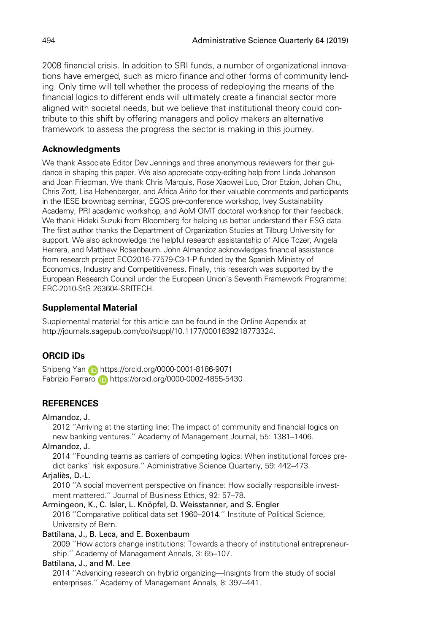2008 financial crisis. In addition to SRI funds, a number of organizational innovations have emerged, such as micro finance and other forms of community lending. Only time will tell whether the process of redeploying the means of the financial logics to different ends will ultimately create a financial sector more aligned with societal needs, but we believe that institutional theory could contribute to this shift by offering managers and policy makers an alternative framework to assess the progress the sector is making in this journey.

# Acknowledgments

We thank Associate Editor Dev Jennings and three anonymous reviewers for their guidance in shaping this paper. We also appreciate copy-editing help from Linda Johanson and Joan Friedman. We thank Chris Marquis, Rose Xiaowei Luo, Dror Etzion, Johan Chu, Chris Zott, Lisa Hehenberger, and Africa Ariño for their valuable comments and participants in the IESE brownbag seminar, EGOS pre-conference workshop, Ivey Sustainability Academy, PRI academic workshop, and AoM OMT doctoral workshop for their feedback. We thank Hideki Suzuki from Bloomberg for helping us better understand their ESG data. The first author thanks the Department of Organization Studies at Tilburg University for support. We also acknowledge the helpful research assistantship of Alice Tozer, Angela Herrera, and Matthew Rosenbaum. John Almandoz acknowledges financial assistance from research project ECO2016-77579-C3-1-P funded by the Spanish Ministry of Economics, Industry and Competitiveness. Finally, this research was supported by the European Research Council under the European Union's Seventh Framework Programme: ERC-2010-StG 263604-SRITECH.

# Supplemental Material

Supplemental material for this article can be found in the Online Appendix at http://journals.sagepub.com/doi/suppl/10.1177/0001839218773324.

# ORCID iDs

Shipeng Yan https://orcid.org/0000-0001-8186-9071 Fabrizio Ferraro **(b)** https://orcid.org/0000-0002-4855-5430

# **REFERENCES**

# Almandoz, J.

2012 ''Arriving at the starting line: The impact of community and financial logics on new banking ventures.'' Academy of Management Journal, 55: 1381–1406.

Almandoz, J.

2014 ''Founding teams as carriers of competing logics: When institutional forces predict banks' risk exposure.'' Administrative Science Quarterly, 59: 442–473.

# Arjaliès, D.-L.

2010 ''A social movement perspective on finance: How socially responsible investment mattered.'' Journal of Business Ethics, 92: 57–78.

# Armingeon, K., C. Isler, L. Knöpfel, D. Weisstanner, and S. Engler

2016 ''Comparative political data set 1960–2014.'' Institute of Political Science, University of Bern.

Battilana, J., B. Leca, and E. Boxenbaum

2009 ''How actors change institutions: Towards a theory of institutional entrepreneurship.'' Academy of Management Annals, 3: 65–107.

Battilana, J., and M. Lee

2014 ''Advancing research on hybrid organizing—Insights from the study of social enterprises.'' Academy of Management Annals, 8: 397–441.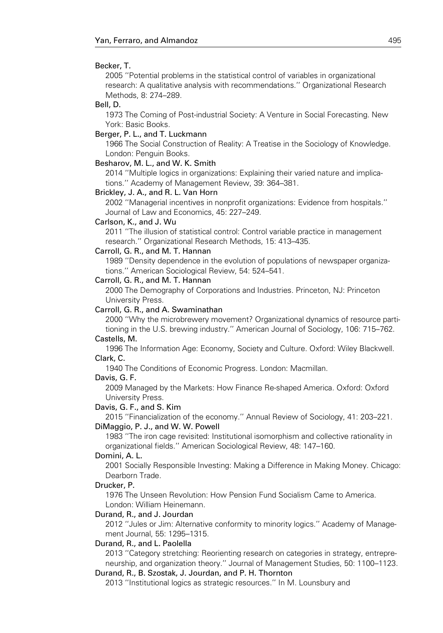#### Becker, T.

2005 ''Potential problems in the statistical control of variables in organizational research: A qualitative analysis with recommendations.'' Organizational Research Methods, 8: 274–289.

#### Bell, D.

1973 The Coming of Post-industrial Society: A Venture in Social Forecasting. New York: Basic Books.

#### Berger, P. L., and T. Luckmann

1966 The Social Construction of Reality: A Treatise in the Sociology of Knowledge. London: Penguin Books.

#### Besharov, M. L., and W. K. Smith

2014 ''Multiple logics in organizations: Explaining their varied nature and implications.'' Academy of Management Review, 39: 364–381.

#### Brickley, J. A., and R. L. Van Horn

2002 ''Managerial incentives in nonprofit organizations: Evidence from hospitals.'' Journal of Law and Economics, 45: 227–249.

#### Carlson, K., and J. Wu

2011 ''The illusion of statistical control: Control variable practice in management research.'' Organizational Research Methods, 15: 413–435.

#### Carroll, G. R., and M. T. Hannan

1989 ''Density dependence in the evolution of populations of newspaper organizations.'' American Sociological Review, 54: 524–541.

#### Carroll, G. R., and M. T. Hannan

2000 The Demography of Corporations and Industries. Princeton, NJ: Princeton University Press.

#### Carroll, G. R., and A. Swaminathan

2000 ''Why the microbrewery movement? Organizational dynamics of resource partitioning in the U.S. brewing industry.'' American Journal of Sociology, 106: 715–762. Castells, M.

1996 The Information Age: Economy, Society and Culture. Oxford: Wiley Blackwell. Clark, C.

1940 The Conditions of Economic Progress. London: Macmillan.

#### Davis, G. F.

2009 Managed by the Markets: How Finance Re-shaped America. Oxford: Oxford University Press.

#### Davis, G. F., and S. Kim

2015 ''Financialization of the economy.'' Annual Review of Sociology, 41: 203–221. DiMaggio, P. J., and W. W. Powell

1983 ''The iron cage revisited: Institutional isomorphism and collective rationality in organizational fields.'' American Sociological Review, 48: 147–160.

#### Domini, A. L.

2001 Socially Responsible Investing: Making a Difference in Making Money. Chicago: Dearborn Trade.

#### Drucker, P.

1976 The Unseen Revolution: How Pension Fund Socialism Came to America. London: William Heinemann.

#### Durand, R., and J. Jourdan

2012 ''Jules or Jim: Alternative conformity to minority logics.'' Academy of Management Journal, 55: 1295–1315.

#### Durand, R., and L. Paolella

2013 ''Category stretching: Reorienting research on categories in strategy, entrepreneurship, and organization theory.'' Journal of Management Studies, 50: 1100–1123.

#### Durand, R., B. Szostak, J. Jourdan, and P. H. Thornton

2013 ''Institutional logics as strategic resources.'' In M. Lounsbury and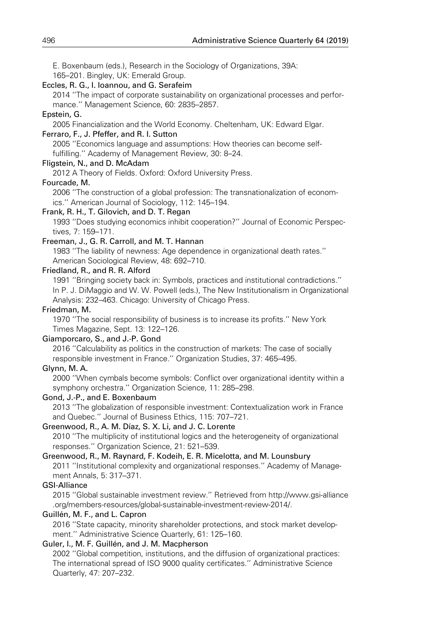E. Boxenbaum (eds.), Research in the Sociology of Organizations, 39A:

165–201. Bingley, UK: Emerald Group.

### Eccles, R. G., I. Ioannou, and G. Serafeim

2014 ''The impact of corporate sustainability on organizational processes and performance.'' Management Science, 60: 2835–2857.

### Epstein, G.

2005 Financialization and the World Economy. Cheltenham, UK: Edward Elgar.

### Ferraro, F., J. Pfeffer, and R. I. Sutton

2005 ''Economics language and assumptions: How theories can become selffulfilling.'' Academy of Management Review, 30: 8–24.

### Fligstein, N., and D. McAdam

2012 A Theory of Fields. Oxford: Oxford University Press.

### Fourcade, M.

2006 ''The construction of a global profession: The transnationalization of economics.'' American Journal of Sociology, 112: 145–194.

### Frank, R. H., T. Gilovich, and D. T. Regan

1993 ''Does studying economics inhibit cooperation?'' Journal of Economic Perspectives, 7: 159–171.

### Freeman, J., G. R. Carroll, and M. T. Hannan

1983 ''The liability of newness: Age dependence in organizational death rates.'' American Sociological Review, 48: 692–710.

### Friedland, R., and R. R. Alford

1991 ''Bringing society back in: Symbols, practices and institutional contradictions.'' In P. J. DiMaggio and W. W. Powell (eds.), The New Institutionalism in Organizational Analysis: 232–463. Chicago: University of Chicago Press.

### Friedman, M.

1970 ''The social responsibility of business is to increase its profits.'' New York Times Magazine, Sept. 13: 122–126.

### Giamporcaro, S., and J.-P. Gond

2016 ''Calculability as politics in the construction of markets: The case of socially responsible investment in France.'' Organization Studies, 37: 465–495.

### Glynn, M. A.

2000 ''When cymbals become symbols: Conflict over organizational identity within a symphony orchestra.'' Organization Science, 11: 285–298.

### Gond, J.-P., and E. Boxenbaum

2013 ''The globalization of responsible investment: Contextualization work in France and Quebec.'' Journal of Business Ethics, 115: 707–721.

### Greenwood, R., A. M. Díaz, S. X. Li, and J. C. Lorente

2010 ''The multiplicity of institutional logics and the heterogeneity of organizational responses.'' Organization Science, 21: 521–539.

#### Greenwood, R., M. Raynard, F. Kodeih, E. R. Micelotta, and M. Lounsbury 2011 ''Institutional complexity and organizational responses.'' Academy of Manage-

ment Annals, 5: 317–371.

### GSI-Alliance

[2015 ''Global sustainable investment review.'' Retrieved from http://www.gsi-alliance](http://www.gsi-alliance.org/members-resources/global-sustainable-investment-review-2014/) .org/members-resources/global-sustainable-investment-review-2014/.

### Guillén, M. F., and L. Capron

2016 ''State capacity, minority shareholder protections, and stock market development.'' Administrative Science Quarterly, 61: 125–160.

### Guler, I., M. F. Guillén, and J. M. Macpherson

2002 ''Global competition, institutions, and the diffusion of organizational practices: The international spread of ISO 9000 quality certificates.'' Administrative Science Quarterly, 47: 207–232.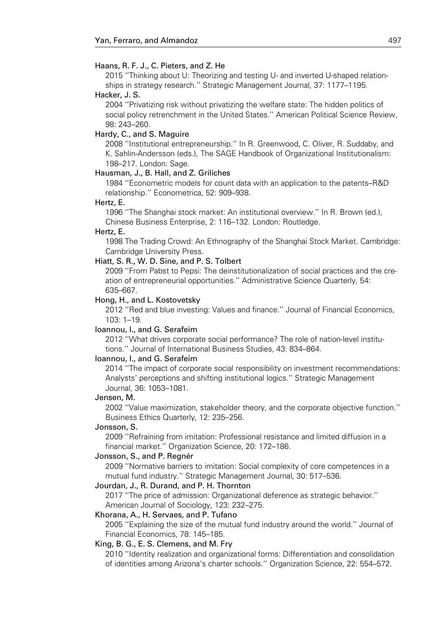#### Haans, R. F. J., C. Pieters, and Z. He

2015 ''Thinking about U: Theorizing and testing U- and inverted U-shaped relationships in strategy research.'' Strategic Management Journal, 37: 1177–1195.

#### Hacker, J. S.

2004 ''Privatizing risk without privatizing the welfare state: The hidden politics of social policy retrenchment in the United States.'' American Political Science Review, 98: 243–260.

### Hardy, C., and S. Maguire

2008 ''Institutional entrepreneurship.'' In R. Greenwood, C. Oliver, R. Suddaby, and K. Sahlin-Andersson (eds.), The SAGE Handbook of Organizational Institutionalism: 198–217. London: Sage.

#### Hausman, J., B. Hall, and Z. Griliches

1984 ''Econometric models for count data with an application to the patents–R&D relationship.'' Econometrica, 52: 909–938.

#### Hertz, E.

1996 ''The Shanghai stock market: An institutional overview.'' In R. Brown (ed.), Chinese Business Enterprise, 2: 116–132. London: Routledge.

#### Hertz, E.

1998 The Trading Crowd: An Ethnography of the Shanghai Stock Market. Cambridge: Cambridge University Press.

### Hiatt, S. R., W. D. Sine, and P. S. Tolbert

2009 ''From Pabst to Pepsi: The deinstitutionalization of social practices and the creation of entrepreneurial opportunities.'' Administrative Science Quarterly, 54: 635–667.

#### Hong, H., and L. Kostovetsky

2012 ''Red and blue investing: Values and finance.'' Journal of Financial Economics,  $103: 1 - 19$ .

### Ioannou, I., and G. Serafeim

2012 ''What drives corporate social performance? The role of nation-level institutions.'' Journal of International Business Studies, 43: 834–864.

#### Ioannou, I., and G. Serafeim

2014 ''The impact of corporate social responsibility on investment recommendations: Analysts' perceptions and shifting institutional logics.'' Strategic Management Journal, 36: 1053–1081.

#### Jensen, M.

2002 ''Value maximization, stakeholder theory, and the corporate objective function.'' Business Ethics Quarterly, 12: 235–256.

### Jonsson, S.

2009 ''Refraining from imitation: Professional resistance and limited diffusion in a financial market.'' Organization Science, 20: 172–186.

#### Jonsson, S., and P. Regnér

2009 ''Normative barriers to imitation: Social complexity of core competences in a mutual fund industry.'' Strategic Management Journal, 30: 517–536.

#### Jourdan, J., R. Durand, and P. H. Thornton

2017 ''The price of admission: Organizational deference as strategic behavior.'' American Journal of Sociology, 123: 232–275.

#### Khorana, A., H. Servaes, and P. Tufano

2005 ''Explaining the size of the mutual fund industry around the world.'' Journal of Financial Economics, 78: 145–185.

#### King, B. G., E. S. Clemens, and M. Fry

2010 ''Identity realization and organizational forms: Differentiation and consolidation of identities among Arizona's charter schools.'' Organization Science, 22: 554–572.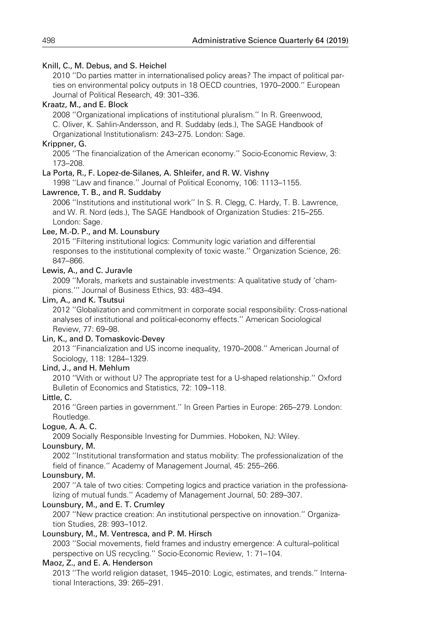### Knill, C., M. Debus, and S. Heichel

2010 ''Do parties matter in internationalised policy areas? The impact of political parties on environmental policy outputs in 18 OECD countries, 1970–2000.'' European Journal of Political Research, 49: 301–336.

### Kraatz, M., and E. Block

2008 ''Organizational implications of institutional pluralism.'' In R. Greenwood, C. Oliver, K. Sahlin-Andersson, and R. Suddaby (eds.), The SAGE Handbook of Organizational Institutionalism: 243–275. London: Sage.

### Krippner, G.

2005 ''The financialization of the American economy.'' Socio-Economic Review, 3: 173–208.

### La Porta, R., F. Lopez-de-Silanes, A. Shleifer, and R. W. Vishny

1998 ''Law and finance.'' Journal of Political Economy, 106: 1113–1155.

### Lawrence, T. B., and R. Suddaby

2006 ''Institutions and institutional work'' In S. R. Clegg, C. Hardy, T. B. Lawrence, and W. R. Nord (eds.), The SAGE Handbook of Organization Studies: 215–255. London: Sage.

### Lee, M.-D. P., and M. Lounsbury

2015 ''Filtering institutional logics: Community logic variation and differential responses to the institutional complexity of toxic waste.'' Organization Science, 26: 847–866.

### Lewis, A., and C. Juravle

2009 ''Morals, markets and sustainable investments: A qualitative study of 'champions.''' Journal of Business Ethics, 93: 483–494.

### Lim, A., and K. Tsutsui

2012 ''Globalization and commitment in corporate social responsibility: Cross-national analyses of institutional and political-economy effects.'' American Sociological Review, 77: 69–98.

### Lin, K., and D. Tomaskovic-Devey

2013 ''Financialization and US income inequality, 1970–2008.'' American Journal of Sociology, 118: 1284–1329.

### Lind, J., and H. Mehlum

2010 ''With or without U? The appropriate test for a U-shaped relationship.'' Oxford Bulletin of Economics and Statistics, 72: 109–118.

# Little, C.

2016 ''Green parties in government.'' In Green Parties in Europe: 265–279. London: Routledge.

# Logue, A. A. C.

2009 Socially Responsible Investing for Dummies. Hoboken, NJ: Wiley.

### Lounsbury, M.

2002 ''Institutional transformation and status mobility: The professionalization of the field of finance.'' Academy of Management Journal, 45: 255–266.

### Lounsbury, M.

2007 ''A tale of two cities: Competing logics and practice variation in the professionalizing of mutual funds.'' Academy of Management Journal, 50: 289–307.

# Lounsbury, M., and E. T. Crumley

2007 ''New practice creation: An institutional perspective on innovation.'' Organization Studies, 28: 993–1012.

# Lounsbury, M., M. Ventresca, and P. M. Hirsch

2003 ''Social movements, field frames and industry emergence: A cultural–political perspective on US recycling.'' Socio-Economic Review, 1: 71–104.

### Maoz, Z., and E. A. Henderson

2013 ''The world religion dataset, 1945–2010: Logic, estimates, and trends.'' International Interactions, 39: 265–291.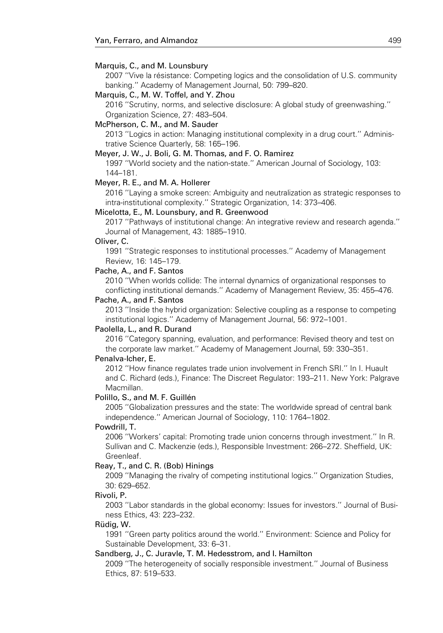#### Marquis, C., and M. Lounsbury

2007 "Vive la résistance: Competing logics and the consolidation of U.S. community banking.'' Academy of Management Journal, 50: 799–820.

#### Marquis, C., M. W. Toffel, and Y. Zhou

2016 ''Scrutiny, norms, and selective disclosure: A global study of greenwashing.'' Organization Science, 27: 483–504.

#### McPherson, C. M., and M. Sauder

2013 ''Logics in action: Managing institutional complexity in a drug court.'' Administrative Science Quarterly, 58: 165–196.

#### Meyer, J. W., J. Boli, G. M. Thomas, and F. O. Ramirez

1997 ''World society and the nation-state.'' American Journal of Sociology, 103: 144–181.

#### Meyer, R. E., and M. A. Hollerer

2016 ''Laying a smoke screen: Ambiguity and neutralization as strategic responses to intra-institutional complexity.'' Strategic Organization, 14: 373–406.

#### Micelotta, E., M. Lounsbury, and R. Greenwood

2017 ''Pathways of institutional change: An integrative review and research agenda.'' Journal of Management, 43: 1885–1910.

### Oliver, C.

1991 ''Strategic responses to institutional processes.'' Academy of Management Review, 16: 145–179.

#### Pache, A., and F. Santos

2010 ''When worlds collide: The internal dynamics of organizational responses to conflicting institutional demands.'' Academy of Management Review, 35: 455–476.

#### Pache, A., and F. Santos

2013 ''Inside the hybrid organization: Selective coupling as a response to competing institutional logics.'' Academy of Management Journal, 56: 972–1001.

#### Paolella, L., and R. Durand

2016 ''Category spanning, evaluation, and performance: Revised theory and test on the corporate law market.'' Academy of Management Journal, 59: 330–351.

#### Penalva-Icher, E.

2012 ''How finance regulates trade union involvement in French SRI.'' In I. Huault and C. Richard (eds.), Finance: The Discreet Regulator: 193–211. New York: Palgrave Macmillan.

### Polillo, S., and M. F. Guillén

2005 ''Globalization pressures and the state: The worldwide spread of central bank independence.'' American Journal of Sociology, 110: 1764–1802.

#### Powdrill, T.

2006 ''Workers' capital: Promoting trade union concerns through investment.'' In R. Sullivan and C. Mackenzie (eds.), Responsible Investment: 266–272. Sheffield, UK: Greenleaf.

#### Reay, T., and C. R. (Bob) Hinings

2009 ''Managing the rivalry of competing institutional logics.'' Organization Studies, 30: 629–652.

### Rivoli, P.

2003 ''Labor standards in the global economy: Issues for investors.'' Journal of Business Ethics, 43: 223–232.

#### Rüdig, W.

1991 ''Green party politics around the world.'' Environment: Science and Policy for Sustainable Development, 33: 6–31.

#### Sandberg, J., C. Juravle, T. M. Hedesstrom, and I. Hamilton

2009 ''The heterogeneity of socially responsible investment.'' Journal of Business Ethics, 87: 519–533.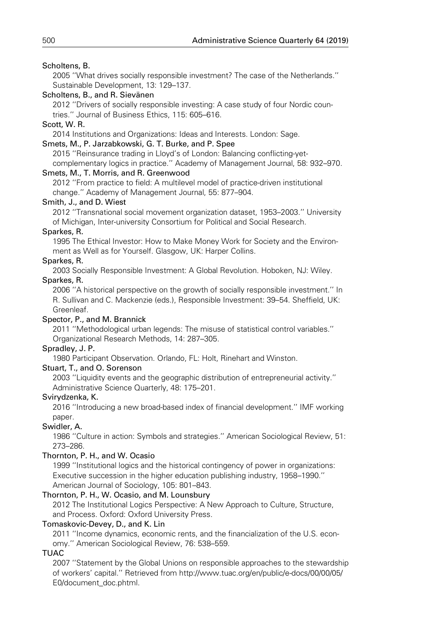### Scholtens, B.

2005 ''What drives socially responsible investment? The case of the Netherlands.'' Sustainable Development, 13: 129–137.

### Scholtens, B., and R. Sievänen

2012 ''Drivers of socially responsible investing: A case study of four Nordic countries.'' Journal of Business Ethics, 115: 605–616.

### Scott, W. R.

2014 Institutions and Organizations: Ideas and Interests. London: Sage.

### Smets, M., P. Jarzabkowski, G. T. Burke, and P. Spee

2015 ''Reinsurance trading in Lloyd's of London: Balancing conflicting-yetcomplementary logics in practice.'' Academy of Management Journal, 58: 932–970.

### Smets, M., T. Morris, and R. Greenwood

2012 ''From practice to field: A multilevel model of practice-driven institutional change.'' Academy of Management Journal, 55: 877–904.

### Smith, J., and D. Wiest

2012 ''Transnational social movement organization dataset, 1953–2003.'' University of Michigan, Inter-university Consortium for Political and Social Research.

### Sparkes, R.

1995 The Ethical Investor: How to Make Money Work for Society and the Environment as Well as for Yourself. Glasgow, UK: Harper Collins.

### Sparkes, R.

2003 Socially Responsible Investment: A Global Revolution. Hoboken, NJ: Wiley. Sparkes, R.

2006 ''A historical perspective on the growth of socially responsible investment.'' In R. Sullivan and C. Mackenzie (eds.), Responsible Investment: 39–54. Sheffield, UK: Greenleaf.

### Spector, P., and M. Brannick

2011 ''Methodological urban legends: The misuse of statistical control variables.'' Organizational Research Methods, 14: 287–305.

### Spradley, J. P.

1980 Participant Observation. Orlando, FL: Holt, Rinehart and Winston.

### Stuart, T., and O. Sorenson

2003 ''Liquidity events and the geographic distribution of entrepreneurial activity.'' Administrative Science Quarterly, 48: 175–201.

### Svirydzenka, K.

2016 ''Introducing a new broad-based index of financial development.'' IMF working paper.

### Swidler, A.

1986 ''Culture in action: Symbols and strategies.'' American Sociological Review, 51: 273–286.

### Thornton, P. H., and W. Ocasio

1999 ''Institutional logics and the historical contingency of power in organizations: Executive succession in the higher education publishing industry, 1958–1990.'' American Journal of Sociology, 105: 801–843.

### Thornton, P. H., W. Ocasio, and M. Lounsbury

2012 The Institutional Logics Perspective: A New Approach to Culture, Structure, and Process. Oxford: Oxford University Press.

### Tomaskovic-Devey, D., and K. Lin

2011 ''Income dynamics, economic rents, and the financialization of the U.S. economy.'' American Sociological Review, 76: 538–559.

### TUAC

2007 ''Statement by the Global Unions on responsible approaches to the stewardship [of workers' capital.'' Retrieved from http://www.tuac.org/en/public/e-docs/00/00/05/](http://www.tuac.org/en/public/e-docs/00/00/05/E0/document_doc.phtml) E0/document\_doc.phtml.